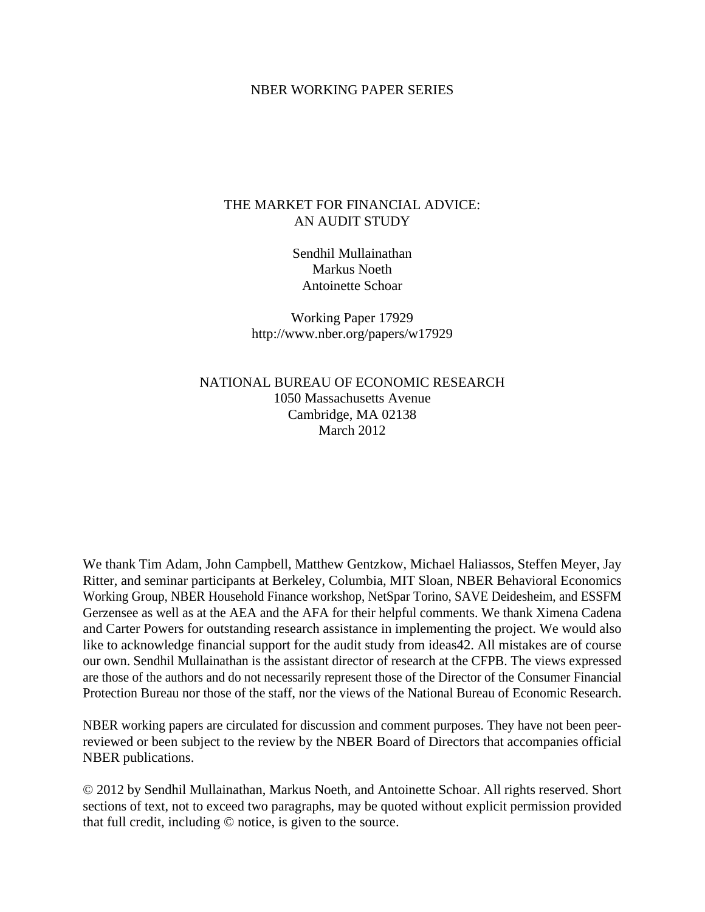#### NBER WORKING PAPER SERIES

### THE MARKET FOR FINANCIAL ADVICE: AN AUDIT STUDY

Sendhil Mullainathan Markus Noeth Antoinette Schoar

Working Paper 17929 http://www.nber.org/papers/w17929

NATIONAL BUREAU OF ECONOMIC RESEARCH 1050 Massachusetts Avenue Cambridge, MA 02138 March 2012

We thank Tim Adam, John Campbell, Matthew Gentzkow, Michael Haliassos, Steffen Meyer, Jay Ritter, and seminar participants at Berkeley, Columbia, MIT Sloan, NBER Behavioral Economics Working Group, NBER Household Finance workshop, NetSpar Torino, SAVE Deidesheim, and ESSFM Gerzensee as well as at the AEA and the AFA for their helpful comments. We thank Ximena Cadena and Carter Powers for outstanding research assistance in implementing the project. We would also like to acknowledge financial support for the audit study from ideas42. All mistakes are of course our own. Sendhil Mullainathan is the assistant director of research at the CFPB. The views expressed are those of the authors and do not necessarily represent those of the Director of the Consumer Financial Protection Bureau nor those of the staff, nor the views of the National Bureau of Economic Research.

NBER working papers are circulated for discussion and comment purposes. They have not been peerreviewed or been subject to the review by the NBER Board of Directors that accompanies official NBER publications.

© 2012 by Sendhil Mullainathan, Markus Noeth, and Antoinette Schoar. All rights reserved. Short sections of text, not to exceed two paragraphs, may be quoted without explicit permission provided that full credit, including © notice, is given to the source.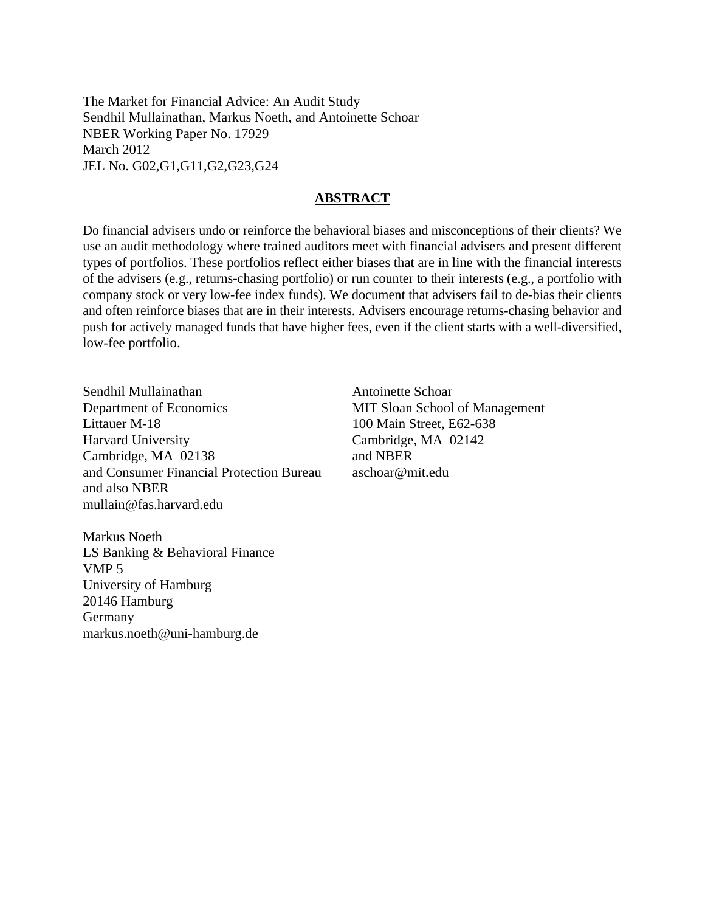The Market for Financial Advice: An Audit Study Sendhil Mullainathan, Markus Noeth, and Antoinette Schoar NBER Working Paper No. 17929 March 2012 JEL No. G02,G1,G11,G2,G23,G24

#### **ABSTRACT**

Do financial advisers undo or reinforce the behavioral biases and misconceptions of their clients? We use an audit methodology where trained auditors meet with financial advisers and present different types of portfolios. These portfolios reflect either biases that are in line with the financial interests of the advisers (e.g., returns-chasing portfolio) or run counter to their interests (e.g., a portfolio with company stock or very low-fee index funds). We document that advisers fail to de-bias their clients and often reinforce biases that are in their interests. Advisers encourage returns-chasing behavior and push for actively managed funds that have higher fees, even if the client starts with a well-diversified, low-fee portfolio.

Sendhil Mullainathan Department of Economics Littauer M-18 Harvard University Cambridge, MA 02138 and Consumer Financial Protection Bureau and also NBER mullain@fas.harvard.edu

Antoinette Schoar MIT Sloan School of Management 100 Main Street, E62-638 Cambridge, MA 02142 and NBER aschoar@mit.edu

Markus Noeth LS Banking & Behavioral Finance VMP 5 University of Hamburg 20146 Hamburg Germany markus.noeth@uni-hamburg.de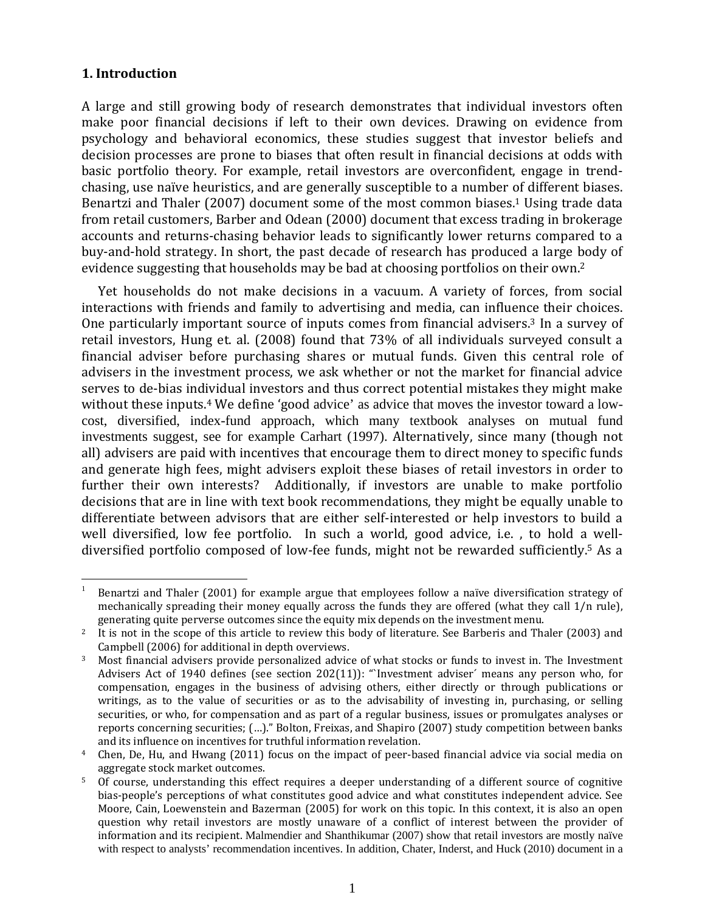#### **1. Introduction**

A large and still growing body of research demonstrates that individual investors often make poor financial decisions if left to their own devices. Drawing on evidence from psychology and behavioral economics, these studies suggest that investor beliefs and decision processes are prone to biases that often result in financial decisions at odds with basic portfolio theory. For example, retail investors are overconfident, engage in trendchasing, use naïve heuristics, and are generally susceptible to a number of different biases. Benartzi and Thaler (2007) document some of the most common biases.<sup>1</sup> Using trade data from retail customers, Barber and Odean (2000) document that excess trading in brokerage accounts and returns-chasing behavior leads to significantly lower returns compared to a buy-and-hold strategy. In short, the past decade of research has produced a large body of evidence suggesting that households may be bad at choosing portfolios on their own.<sup>2</sup>

Yet households do not make decisions in a vacuum. A variety of forces, from social interactions with friends and family to advertising and media, can influence their choices. One particularly important source of inputs comes from financial advisers.<sup>3</sup> In a survey of retail investors, Hung et. al. (2008) found that 73% of all individuals surveyed consult a financial adviser before purchasing shares or mutual funds. Given this central role of advisers in the investment process, we ask whether or not the market for financial advice serves to de-bias individual investors and thus correct potential mistakes they might make without these inputs.<sup>4</sup> We define 'good advice' as advice that moves the investor toward a lowcost, diversified, index-fund approach, which many textbook analyses on mutual fund investments suggest, see for example Carhart (1997). Alternatively, since many (though not all) advisers are paid with incentives that encourage them to direct money to specific funds and generate high fees, might advisers exploit these biases of retail investors in order to further their own interests? Additionally, if investors are unable to make portfolio decisions that are in line with text book recommendations, they might be equally unable to differentiate between advisors that are either self-interested or help investors to build a well diversified, low fee portfolio. In such a world, good advice, i.e., to hold a welldiversified portfolio composed of low-fee funds, might not be rewarded sufficiently.<sup>5</sup> As a

 $\frac{1}{1}$ Benartzi and Thaler (2001) for example argue that employees follow a naïve diversification strategy of mechanically spreading their money equally across the funds they are offered (what they call 1/n rule), generating quite perverse outcomes since the equity mix depends on the investment menu.

<sup>&</sup>lt;sup>2</sup> It is not in the scope of this article to review this body of literature. See Barberis and Thaler (2003) and Campbell (2006) for additional in depth overviews.

<sup>&</sup>lt;sup>3</sup> Most financial advisers provide personalized advice of what stocks or funds to invest in. The Investment Advisers Act of 1940 defines (see section  $202(11)$ ): "Investment adviser' means any person who, for compensation, engages in the business of advising others, either directly or through publications or writings, as to the value of securities or as to the advisability of investing in, purchasing, or selling securities, or who, for compensation and as part of a regular business, issues or promulgates analyses or reports concerning securities; (...)." Bolton, Freixas, and Shapiro (2007) study competition between banks and its influence on incentives for truthful information revelation.

 $4$  Chen, De, Hu, and Hwang (2011) focus on the impact of peer-based financial advice via social media on aggregate stock market outcomes.

<sup>&</sup>lt;sup>5</sup> Of course, understanding this effect requires a deeper understanding of a different source of cognitive bias-people's perceptions of what constitutes good advice and what constitutes independent advice. See Moore, Cain, Loewenstein and Bazerman (2005) for work on this topic. In this context, it is also an open question why retail investors are mostly unaware of a conflict of interest between the provider of information and its recipient. Malmendier and Shanthikumar (2007) show that retail investors are mostly naïve with respect to analysts' recommendation incentives. In addition, Chater, Inderst, and Huck (2010) document in a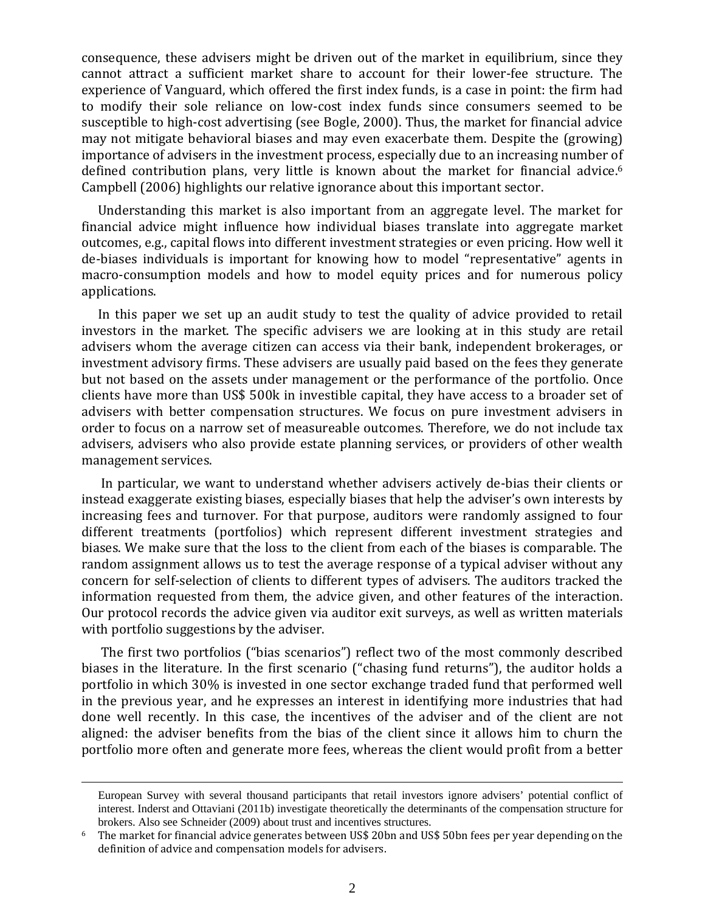consequence, these advisers might be driven out of the market in equilibrium, since they cannot attract a sufficient market share to account for their lower-fee structure. The experience of Vanguard, which offered the first index funds, is a case in point: the firm had to modify their sole reliance on low-cost index funds since consumers seemed to be susceptible to high-cost advertising (see Bogle, 2000). Thus, the market for financial advice may not mitigate behavioral biases and may even exacerbate them. Despite the (growing) importance of advisers in the investment process, especially due to an increasing number of defined contribution plans, very little is known about the market for financial advice.<sup>6</sup> Campbell (2006) highlights our relative ignorance about this important sector.

Understanding this market is also important from an aggregate level. The market for financial advice might influence how individual biases translate into aggregate market outcomes, e.g., capital flows into different investment strategies or even pricing. How well it de-biases individuals is important for knowing how to model "representative" agents in macro-consumption models and how to model equity prices and for numerous policy applications. 

In this paper we set up an audit study to test the quality of advice provided to retail investors in the market. The specific advisers we are looking at in this study are retail advisers whom the average citizen can access via their bank, independent brokerages, or investment advisory firms. These advisers are usually paid based on the fees they generate but not based on the assets under management or the performance of the portfolio. Once clients have more than US\$ 500k in investible capital, they have access to a broader set of advisers with better compensation structures. We focus on pure investment advisers in order to focus on a narrow set of measureable outcomes. Therefore, we do not include tax advisers, advisers who also provide estate planning services, or providers of other wealth management services.

In particular, we want to understand whether advisers actively de-bias their clients or instead exaggerate existing biases, especially biases that help the adviser's own interests by increasing fees and turnover. For that purpose, auditors were randomly assigned to four different treatments (portfolios) which represent different investment strategies and biases. We make sure that the loss to the client from each of the biases is comparable. The random assignment allows us to test the average response of a typical adviser without any concern for self-selection of clients to different types of advisers. The auditors tracked the information requested from them, the advice given, and other features of the interaction. Our protocol records the advice given via auditor exit surveys, as well as written materials with portfolio suggestions by the adviser.

The first two portfolios ("bias scenarios") reflect two of the most commonly described biases in the literature. In the first scenario ("chasing fund returns"), the auditor holds a portfolio in which 30% is invested in one sector exchange traded fund that performed well in the previous year, and he expresses an interest in identifying more industries that had done well recently. In this case, the incentives of the adviser and of the client are not aligned: the adviser benefits from the bias of the client since it allows him to churn the portfolio more often and generate more fees, whereas the client would profit from a better

European Survey with several thousand participants that retail investors ignore advisers' potential conflict of interest. Inderst and Ottaviani (2011b) investigate theoretically the determinants of the compensation structure for brokers. Also see Schneider (2009) about trust and incentives structures.

<sup>&</sup>lt;sup>6</sup> The market for financial advice generates between US\$ 20bn and US\$ 50bn fees per year depending on the definition of advice and compensation models for advisers.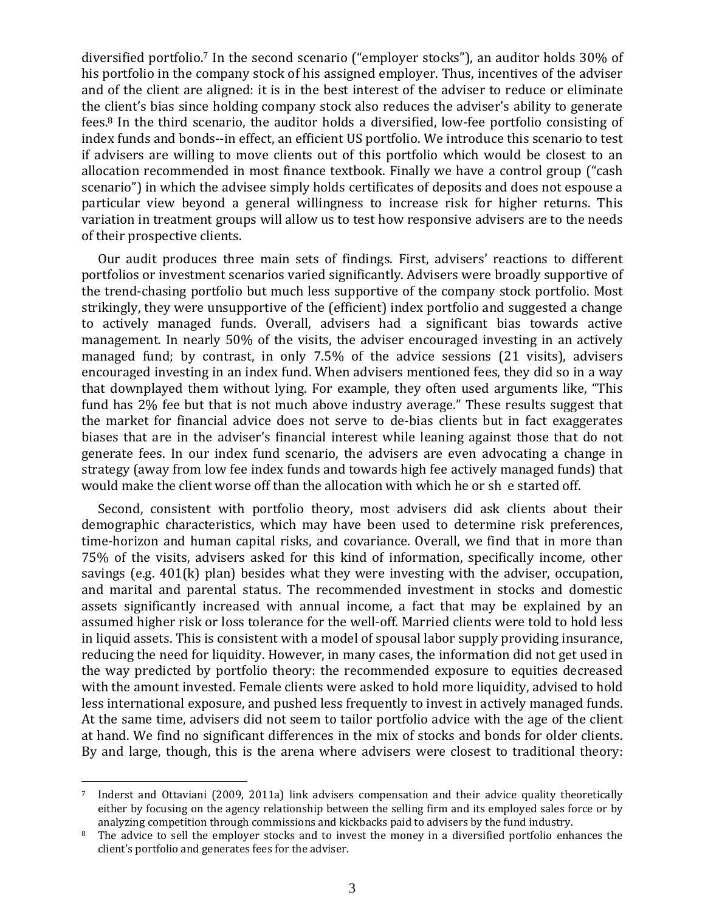diversified portfolio.<sup>7</sup> In the second scenario ("employer stocks"), an auditor holds 30% of his portfolio in the company stock of his assigned employer. Thus, incentives of the adviser and of the client are aligned: it is in the best interest of the adviser to reduce or eliminate the client's bias since holding company stock also reduces the adviser's ability to generate fees.<sup>8</sup> In the third scenario, the auditor holds a diversified, low-fee portfolio consisting of index funds and bonds--in effect, an efficient US portfolio. We introduce this scenario to test if advisers are willing to move clients out of this portfolio which would be closest to an allocation recommended in most finance textbook. Finally we have a control group ("cash scenario") in which the advisee simply holds certificates of deposits and does not espouse a particular view beyond a general willingness to increase risk for higher returns. This variation in treatment groups will allow us to test how responsive advisers are to the needs of their prospective clients.

Our audit produces three main sets of findings. First, advisers' reactions to different portfolios or investment scenarios varied significantly. Advisers were broadly supportive of the trend-chasing portfolio but much less supportive of the company stock portfolio. Most strikingly, they were unsupportive of the (efficient) index portfolio and suggested a change to actively managed funds. Overall, advisers had a significant bias towards active management. In nearly 50% of the visits, the adviser encouraged investing in an actively managed fund; by contrast, in only 7.5% of the advice sessions (21 visits), advisers encouraged investing in an index fund. When advisers mentioned fees, they did so in a way that downplayed them without lying. For example, they often used arguments like, "This fund has 2% fee but that is not much above industry average." These results suggest that the market for financial advice does not serve to de-bias clients but in fact exaggerates biases that are in the adviser's financial interest while leaning against those that do not generate fees. In our index fund scenario, the advisers are even advocating a change in strategy (away from low fee index funds and towards high fee actively managed funds) that would make the client worse off than the allocation with which he or she started off.

Second, consistent with portfolio theory, most advisers did ask clients about their demographic characteristics, which may have been used to determine risk preferences, time-horizon and human capital risks, and covariance. Overall, we find that in more than 75% of the visits, advisers asked for this kind of information, specifically income, other savings  $(e.g. 401(k)$  plan) besides what they were investing with the adviser, occupation, and marital and parental status. The recommended investment in stocks and domestic assets significantly increased with annual income, a fact that may be explained by an assumed higher risk or loss tolerance for the well-off. Married clients were told to hold less in liquid assets. This is consistent with a model of spousal labor supply providing insurance, reducing the need for liquidity. However, in many cases, the information did not get used in the way predicted by portfolio theory: the recommended exposure to equities decreased with the amount invested. Female clients were asked to hold more liquidity, advised to hold less international exposure, and pushed less frequently to invest in actively managed funds. At the same time, advisers did not seem to tailor portfolio advice with the age of the client at hand. We find no significant differences in the mix of stocks and bonds for older clients. By and large, though, this is the arena where advisers were closest to traditional theory:

 $\overline{a}$ 

 $\frac{7}{100}$  Inderst and Ottaviani (2009, 2011a) link advisers compensation and their advice quality theoretically either by focusing on the agency relationship between the selling firm and its employed sales force or by analyzing competition through commissions and kickbacks paid to advisers by the fund industry.

<sup>&</sup>lt;sup>8</sup> The advice to sell the employer stocks and to invest the money in a diversified portfolio enhances the client's portfolio and generates fees for the adviser.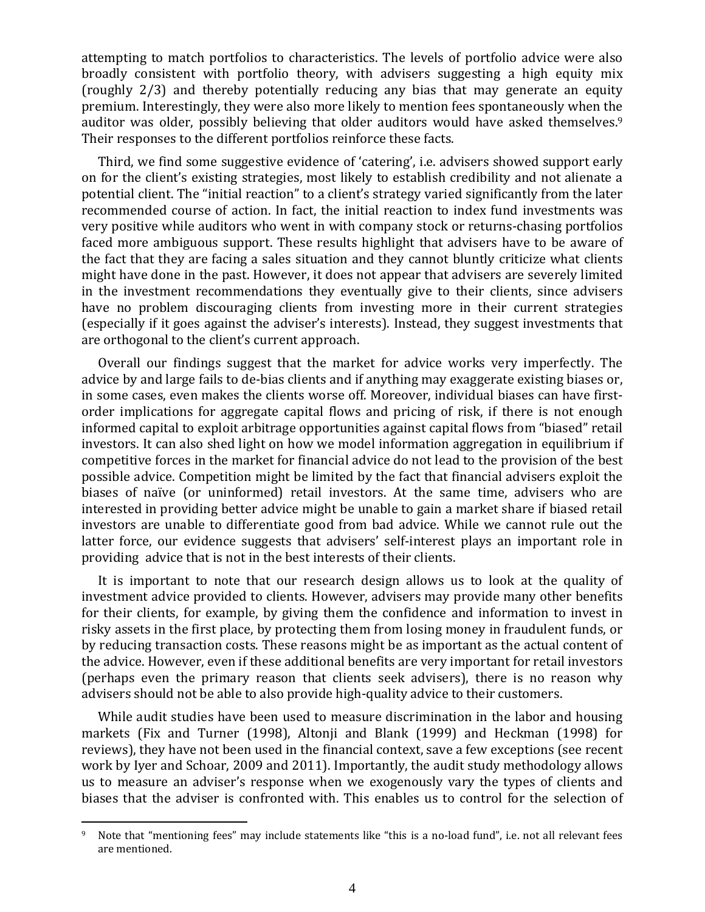attempting to match portfolios to characteristics. The levels of portfolio advice were also broadly consistent with portfolio theory, with advisers suggesting a high equity mix (roughly  $2/3$ ) and thereby potentially reducing any bias that may generate an equity premium. Interestingly, they were also more likely to mention fees spontaneously when the auditor was older, possibly believing that older auditors would have asked themselves.<sup>9</sup> Their responses to the different portfolios reinforce these facts.

Third, we find some suggestive evidence of 'catering', i.e. advisers showed support early on for the client's existing strategies, most likely to establish credibility and not alienate a potential client. The "initial reaction" to a client's strategy varied significantly from the later recommended course of action. In fact, the initial reaction to index fund investments was very positive while auditors who went in with company stock or returns-chasing portfolios faced more ambiguous support. These results highlight that advisers have to be aware of the fact that they are facing a sales situation and they cannot bluntly criticize what clients might have done in the past. However, it does not appear that advisers are severely limited in the investment recommendations they eventually give to their clients, since advisers have no problem discouraging clients from investing more in their current strategies (especially if it goes against the adviser's interests). Instead, they suggest investments that are orthogonal to the client's current approach.

Overall our findings suggest that the market for advice works very imperfectly. The advice by and large fails to de-bias clients and if anything may exaggerate existing biases or, in some cases, even makes the clients worse off. Moreover, individual biases can have firstorder implications for aggregate capital flows and pricing of risk, if there is not enough informed capital to exploit arbitrage opportunities against capital flows from "biased" retail investors. It can also shed light on how we model information aggregation in equilibrium if competitive forces in the market for financial advice do not lead to the provision of the best possible advice. Competition might be limited by the fact that financial advisers exploit the biases of naïve (or uninformed) retail investors. At the same time, advisers who are interested in providing better advice might be unable to gain a market share if biased retail investors are unable to differentiate good from bad advice. While we cannot rule out the latter force, our evidence suggests that advisers' self-interest plays an important role in providing advice that is not in the best interests of their clients.

It is important to note that our research design allows us to look at the quality of investment advice provided to clients. However, advisers may provide many other benefits for their clients, for example, by giving them the confidence and information to invest in risky assets in the first place, by protecting them from losing money in fraudulent funds, or by reducing transaction costs. These reasons might be as important as the actual content of the advice. However, even if these additional benefits are very important for retail investors (perhaps even the primary reason that clients seek advisers), there is no reason why advisers should not be able to also provide high-quality advice to their customers.

While audit studies have been used to measure discrimination in the labor and housing markets (Fix and Turner (1998), Altonji and Blank (1999) and Heckman (1998) for reviews), they have not been used in the financial context, save a few exceptions (see recent work by Iyer and Schoar, 2009 and 2011). Importantly, the audit study methodology allows us to measure an adviser's response when we exogenously vary the types of clients and biases that the adviser is confronted with. This enables us to control for the selection of

 $\overline{a}$ 

<sup>&</sup>lt;sup>9</sup> Note that "mentioning fees" may include statements like "this is a no-load fund", i.e. not all relevant fees are mentioned.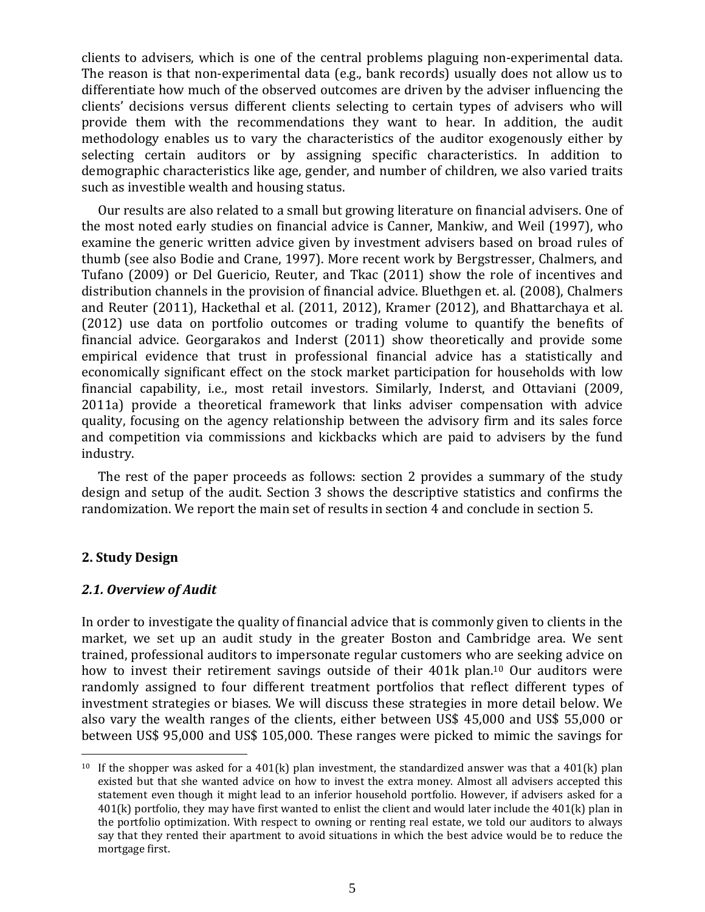clients to advisers, which is one of the central problems plaguing non-experimental data. The reason is that non-experimental data (e.g., bank records) usually does not allow us to differentiate how much of the observed outcomes are driven by the adviser influencing the clients' decisions versus different clients selecting to certain types of advisers who will provide them with the recommendations they want to hear. In addition, the audit methodology enables us to vary the characteristics of the auditor exogenously either by selecting certain auditors or by assigning specific characteristics. In addition to demographic characteristics like age, gender, and number of children, we also varied traits such as investible wealth and housing status.

Our results are also related to a small but growing literature on financial advisers. One of the most noted early studies on financial advice is Canner, Mankiw, and Weil (1997), who examine the generic written advice given by investment advisers based on broad rules of thumb (see also Bodie and Crane, 1997). More recent work by Bergstresser, Chalmers, and Tufano (2009) or Del Guericio, Reuter, and Tkac (2011) show the role of incentives and distribution channels in the provision of financial advice. Bluethgen et. al. (2008), Chalmers and Reuter (2011), Hackethal et al. (2011, 2012), Kramer (2012), and Bhattarchaya et al.  $(2012)$  use data on portfolio outcomes or trading volume to quantify the benefits of financial advice. Georgarakos and Inderst (2011) show theoretically and provide some empirical evidence that trust in professional financial advice has a statistically and economically significant effect on the stock market participation for households with low financial capability, i.e., most retail investors. Similarly, Inderst, and Ottaviani (2009, 2011a) provide a theoretical framework that links adviser compensation with advice quality, focusing on the agency relationship between the advisory firm and its sales force and competition via commissions and kickbacks which are paid to advisers by the fund industry. 

The rest of the paper proceeds as follows: section 2 provides a summary of the study design and setup of the audit. Section 3 shows the descriptive statistics and confirms the randomization. We report the main set of results in section 4 and conclude in section 5.

### **2. Study Design**

 $\overline{a}$ 

### *2.1. Overview of Audit*

In order to investigate the quality of financial advice that is commonly given to clients in the market, we set up an audit study in the greater Boston and Cambridge area. We sent trained, professional auditors to impersonate regular customers who are seeking advice on how to invest their retirement savings outside of their  $401k$  plan.<sup>10</sup> Our auditors were randomly assigned to four different treatment portfolios that reflect different types of investment strategies or biases. We will discuss these strategies in more detail below. We also vary the wealth ranges of the clients, either between US\$ 45,000 and US\$ 55,000 or between US\$ 95,000 and US\$ 105,000. These ranges were picked to mimic the savings for

<sup>&</sup>lt;sup>10</sup> If the shopper was asked for a 401(k) plan investment, the standardized answer was that a 401(k) plan existed but that she wanted advice on how to invest the extra money. Almost all advisers accepted this statement even though it might lead to an inferior household portfolio. However, if advisers asked for a  $401(k)$  portfolio, they may have first wanted to enlist the client and would later include the  $401(k)$  plan in the portfolio optimization. With respect to owning or renting real estate, we told our auditors to always say that they rented their apartment to avoid situations in which the best advice would be to reduce the mortgage first.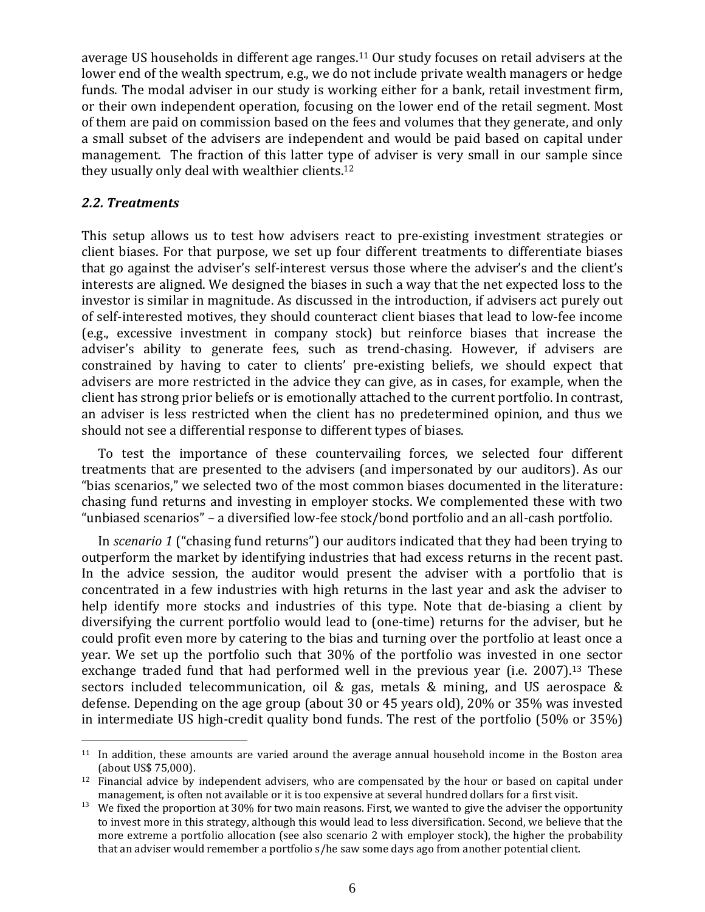average US households in different age ranges.<sup>11</sup> Our study focuses on retail advisers at the lower end of the wealth spectrum, e.g., we do not include private wealth managers or hedge funds. The modal adviser in our study is working either for a bank, retail investment firm, or their own independent operation, focusing on the lower end of the retail segment. Most of them are paid on commission based on the fees and volumes that they generate, and only a small subset of the advisers are independent and would be paid based on capital under management. The fraction of this latter type of adviser is very small in our sample since they usually only deal with wealthier clients.<sup>12</sup>

# *2.2. Treatments*

 $\overline{a}$ 

This setup allows us to test how advisers react to pre-existing investment strategies or client biases. For that purpose, we set up four different treatments to differentiate biases that go against the adviser's self-interest versus those where the adviser's and the client's interests are aligned. We designed the biases in such a way that the net expected loss to the investor is similar in magnitude. As discussed in the introduction, if advisers act purely out of self-interested motives, they should counteract client biases that lead to low-fee income (e.g., excessive investment in company stock) but reinforce biases that increase the adviser's ability to generate fees, such as trend-chasing. However, if advisers are constrained by having to cater to clients' pre-existing beliefs, we should expect that advisers are more restricted in the advice they can give, as in cases, for example, when the client has strong prior beliefs or is emotionally attached to the current portfolio. In contrast, an adviser is less restricted when the client has no predetermined opinion, and thus we should not see a differential response to different types of biases.

To test the importance of these countervailing forces, we selected four different treatments that are presented to the advisers (and impersonated by our auditors). As our "bias scenarios," we selected two of the most common biases documented in the literature: chasing fund returns and investing in employer stocks. We complemented these with two "unbiased scenarios" – a diversified low-fee stock/bond portfolio and an all-cash portfolio.

In *scenario* 1 ("chasing fund returns") our auditors indicated that they had been trying to outperform the market by identifying industries that had excess returns in the recent past. In the advice session, the auditor would present the adviser with a portfolio that is concentrated in a few industries with high returns in the last year and ask the adviser to help identify more stocks and industries of this type. Note that de-biasing a client by diversifying the current portfolio would lead to (one-time) returns for the adviser, but he could profit even more by catering to the bias and turning over the portfolio at least once a year. We set up the portfolio such that 30% of the portfolio was invested in one sector exchange traded fund that had performed well in the previous year (i.e.  $2007$ ).<sup>13</sup> These sectors included telecommunication, oil & gas, metals & mining, and US aerospace & defense. Depending on the age group (about  $30$  or  $45$  years old),  $20\%$  or  $35\%$  was invested in intermediate US high-credit quality bond funds. The rest of the portfolio  $(50\% \text{ or } 35\%)$ 

 $11$  In addition, these amounts are varied around the average annual household income in the Boston area (about US\$ 75,000).

 $12$  Financial advice by independent advisers, who are compensated by the hour or based on capital under management, is often not available or it is too expensive at several hundred dollars for a first visit.

<sup>&</sup>lt;sup>13</sup> We fixed the proportion at 30% for two main reasons. First, we wanted to give the adviser the opportunity to invest more in this strategy, although this would lead to less diversification. Second, we believe that the more extreme a portfolio allocation (see also scenario 2 with employer stock), the higher the probability that an adviser would remember a portfolio s/he saw some days ago from another potential client.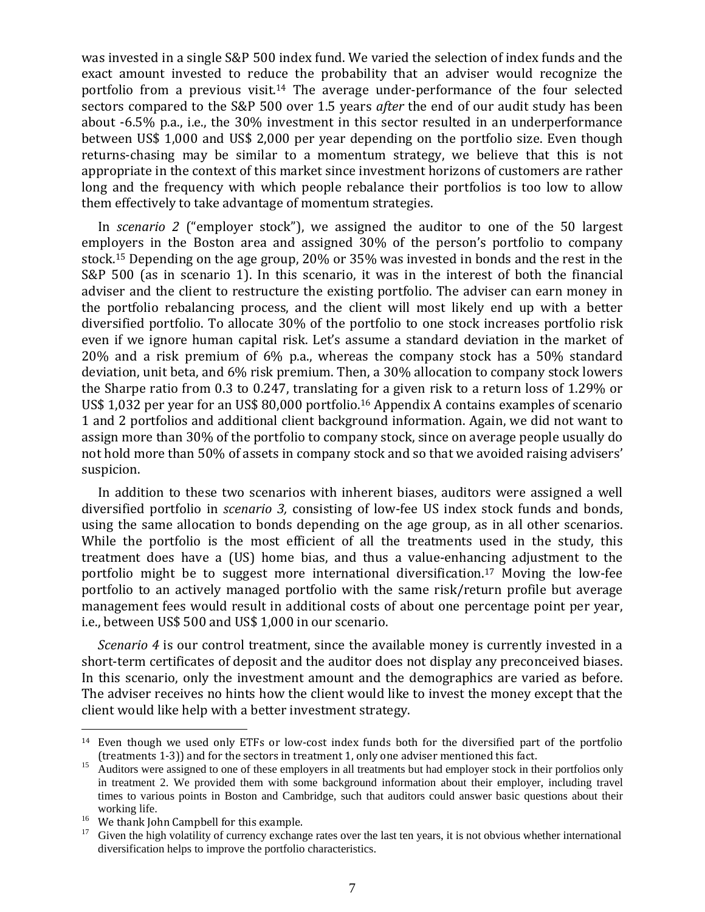was invested in a single S&P 500 index fund. We varied the selection of index funds and the exact amount invested to reduce the probability that an adviser would recognize the portfolio from a previous visit.<sup>14</sup> The average under-performance of the four selected sectors compared to the S&P 500 over 1.5 years *after* the end of our audit study has been about  $-6.5\%$  p.a., i.e., the  $30\%$  investment in this sector resulted in an underperformance between US\$ 1,000 and US\$ 2,000 per year depending on the portfolio size. Even though returns-chasing may be similar to a momentum strategy, we believe that this is not appropriate in the context of this market since investment horizons of customers are rather long and the frequency with which people rebalance their portfolios is too low to allow them effectively to take advantage of momentum strategies.

In *scenario* 2 ("employer stock"), we assigned the auditor to one of the 50 largest employers in the Boston area and assigned  $30\%$  of the person's portfolio to company stock.<sup>15</sup> Depending on the age group, 20% or  $35%$  was invested in bonds and the rest in the S&P 500 (as in scenario 1). In this scenario, it was in the interest of both the financial adviser and the client to restructure the existing portfolio. The adviser can earn money in the portfolio rebalancing process, and the client will most likely end up with a better diversified portfolio. To allocate 30% of the portfolio to one stock increases portfolio risk even if we ignore human capital risk. Let's assume a standard deviation in the market of  $20\%$  and a risk premium of  $6\%$  p.a., whereas the company stock has a  $50\%$  standard deviation, unit beta, and 6% risk premium. Then, a 30% allocation to company stock lowers the Sharpe ratio from 0.3 to 0.247, translating for a given risk to a return loss of 1.29% or US\$ 1,032 per year for an US\$ 80,000 portfolio.<sup>16</sup> Appendix A contains examples of scenario 1 and 2 portfolios and additional client background information. Again, we did not want to assign more than 30% of the portfolio to company stock, since on average people usually do not hold more than 50% of assets in company stock and so that we avoided raising advisers' suspicion. 

In addition to these two scenarios with inherent biases, auditors were assigned a well diversified portfolio in *scenario* 3, consisting of low-fee US index stock funds and bonds, using the same allocation to bonds depending on the age group, as in all other scenarios. While the portfolio is the most efficient of all the treatments used in the study, this treatment does have a (US) home bias, and thus a value-enhancing adjustment to the portfolio might be to suggest more international diversification.<sup>17</sup> Moving the low-fee portfolio to an actively managed portfolio with the same risk/return profile but average management fees would result in additional costs of about one percentage point per year, i.e., between US\$ 500 and US\$ 1,000 in our scenario.

*Scenario* 4 is our control treatment, since the available money is currently invested in a short-term certificates of deposit and the auditor does not display any preconceived biases. In this scenario, only the investment amount and the demographics are varied as before. The adviser receives no hints how the client would like to invest the money except that the client would like help with a better investment strategy.

 $\overline{a}$ 

 $14$  Even though we used only ETFs or low-cost index funds both for the diversified part of the portfolio (treatments 1-3)) and for the sectors in treatment 1, only one adviser mentioned this fact.<br><sup>15</sup> Auditors were assigned to one of these employers in all treatments but had employer stock in their portfolios only

in treatment 2. We provided them with some background information about their employer, including travel times to various points in Boston and Cambridge, such that auditors could answer basic questions about their working life.<br><sup>16</sup> We thank John Campbell for this example.<br><sup>17</sup> Given the high volatility of currency exchange rates over the last ten years, it is not obvious whether international

diversification helps to improve the portfolio characteristics.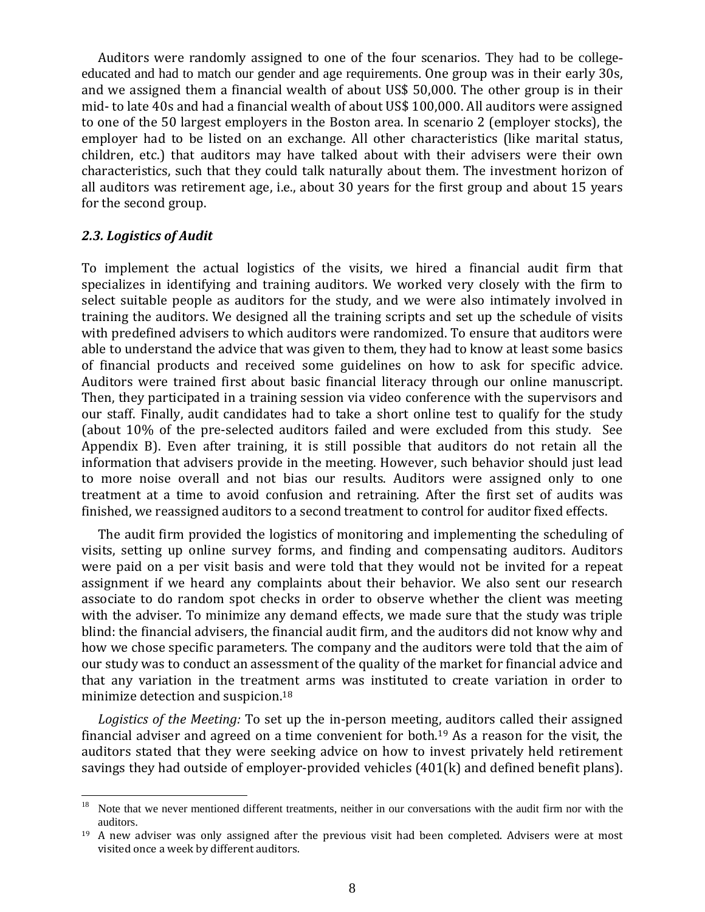Auditors were randomly assigned to one of the four scenarios. They had to be collegeeducated and had to match our gender and age requirements. One group was in their early 30s, and we assigned them a financial wealth of about US\$ 50,000. The other group is in their mid- to late 40s and had a financial wealth of about US\$ 100,000. All auditors were assigned to one of the 50 largest employers in the Boston area. In scenario 2 (employer stocks), the employer had to be listed on an exchange. All other characteristics (like marital status, children, etc.) that auditors may have talked about with their advisers were their own characteristics, such that they could talk naturally about them. The investment horizon of all auditors was retirement age, i.e., about 30 years for the first group and about 15 years for the second group.

## *2.3. Logistics of Audit*

To implement the actual logistics of the visits, we hired a financial audit firm that specializes in identifying and training auditors. We worked very closely with the firm to select suitable people as auditors for the study, and we were also intimately involved in training the auditors. We designed all the training scripts and set up the schedule of visits with predefined advisers to which auditors were randomized. To ensure that auditors were able to understand the advice that was given to them, they had to know at least some basics of financial products and received some guidelines on how to ask for specific advice. Auditors were trained first about basic financial literacy through our online manuscript. Then, they participated in a training session via video conference with the supervisors and our staff. Finally, audit candidates had to take a short online test to qualify for the study (about 10% of the pre-selected auditors failed and were excluded from this study. See Appendix  $B$ ). Even after training, it is still possible that auditors do not retain all the information that advisers provide in the meeting. However, such behavior should just lead to more noise overall and not bias our results. Auditors were assigned only to one treatment at a time to avoid confusion and retraining. After the first set of audits was finished, we reassigned auditors to a second treatment to control for auditor fixed effects.

The audit firm provided the logistics of monitoring and implementing the scheduling of visits, setting up online survey forms, and finding and compensating auditors. Auditors were paid on a per visit basis and were told that they would not be invited for a repeat assignment if we heard any complaints about their behavior. We also sent our research associate to do random spot checks in order to observe whether the client was meeting with the adviser. To minimize any demand effects, we made sure that the study was triple blind: the financial advisers, the financial audit firm, and the auditors did not know why and how we chose specific parameters. The company and the auditors were told that the aim of our study was to conduct an assessment of the quality of the market for financial advice and that any variation in the treatment arms was instituted to create variation in order to minimize detection and suspicion.<sup>18</sup>

*Logistics* of the Meeting: To set up the in-person meeting, auditors called their assigned financial adviser and agreed on a time convenient for both.<sup>19</sup> As a reason for the visit, the auditors stated that they were seeking advice on how to invest privately held retirement savings they had outside of employer-provided vehicles  $(401(k)$  and defined benefit plans).

 $18\,$ Note that we never mentioned different treatments, neither in our conversations with the audit firm nor with the auditors.

 $19$  A new adviser was only assigned after the previous visit had been completed. Advisers were at most visited once a week by different auditors.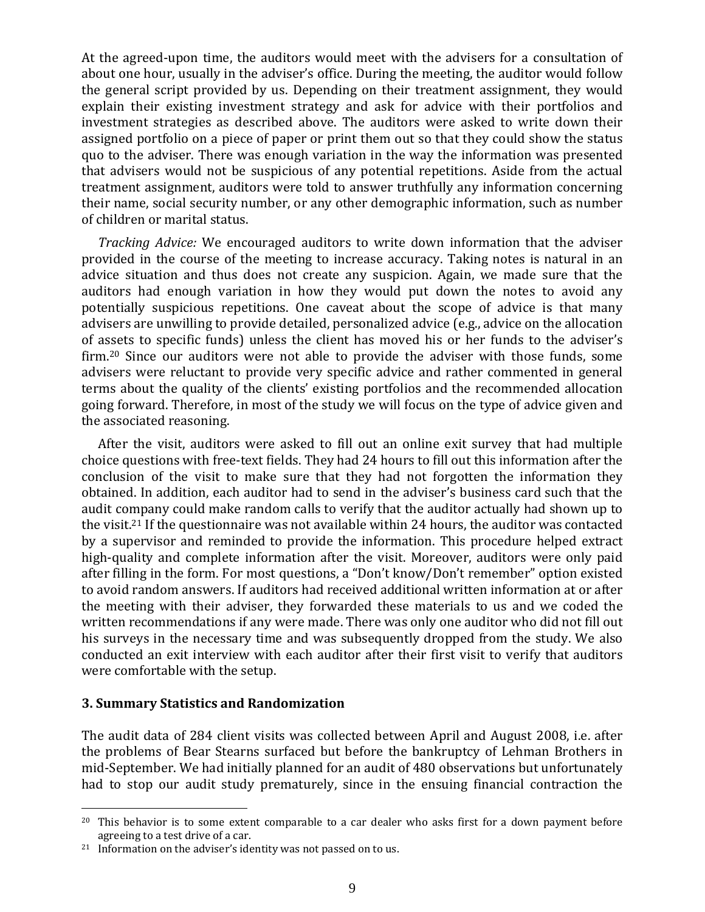At the agreed-upon time, the auditors would meet with the advisers for a consultation of about one hour, usually in the adviser's office. During the meeting, the auditor would follow the general script provided by us. Depending on their treatment assignment, they would explain their existing investment strategy and ask for advice with their portfolios and investment strategies as described above. The auditors were asked to write down their assigned portfolio on a piece of paper or print them out so that they could show the status quo to the adviser. There was enough variation in the way the information was presented that advisers would not be suspicious of any potential repetitions. Aside from the actual treatment assignment, auditors were told to answer truthfully any information concerning their name, social security number, or any other demographic information, such as number of children or marital status.

*Tracking Advice:* We encouraged auditors to write down information that the adviser provided in the course of the meeting to increase accuracy. Taking notes is natural in an advice situation and thus does not create any suspicion. Again, we made sure that the auditors had enough variation in how they would put down the notes to avoid any potentially suspicious repetitions. One caveat about the scope of advice is that many advisers are unwilling to provide detailed, personalized advice (e.g., advice on the allocation of assets to specific funds) unless the client has moved his or her funds to the adviser's firm.<sup>20</sup> Since our auditors were not able to provide the adviser with those funds, some advisers were reluctant to provide very specific advice and rather commented in general terms about the quality of the clients' existing portfolios and the recommended allocation going forward. Therefore, in most of the study we will focus on the type of advice given and the associated reasoning.

After the visit, auditors were asked to fill out an online exit survey that had multiple choice questions with free-text fields. They had 24 hours to fill out this information after the conclusion of the visit to make sure that they had not forgotten the information they obtained. In addition, each auditor had to send in the adviser's business card such that the audit company could make random calls to verify that the auditor actually had shown up to the visit.<sup>21</sup> If the questionnaire was not available within 24 hours, the auditor was contacted by a supervisor and reminded to provide the information. This procedure helped extract high-quality and complete information after the visit. Moreover, auditors were only paid after filling in the form. For most questions, a "Don't know/Don't remember" option existed to avoid random answers. If auditors had received additional written information at or after the meeting with their adviser, they forwarded these materials to us and we coded the written recommendations if any were made. There was only one auditor who did not fill out his surveys in the necessary time and was subsequently dropped from the study. We also conducted an exit interview with each auditor after their first visit to verify that auditors were comfortable with the setup.

### **3. Summary Statistics and Randomization**

 $\overline{a}$ 

The audit data of 284 client visits was collected between April and August 2008, i.e. after the problems of Bear Stearns surfaced but before the bankruptcy of Lehman Brothers in mid-September. We had initially planned for an audit of 480 observations but unfortunately had to stop our audit study prematurely, since in the ensuing financial contraction the

 $20$  This behavior is to some extent comparable to a car dealer who asks first for a down payment before agreeing to a test drive of a car.

 $21$  Information on the adviser's identity was not passed on to us.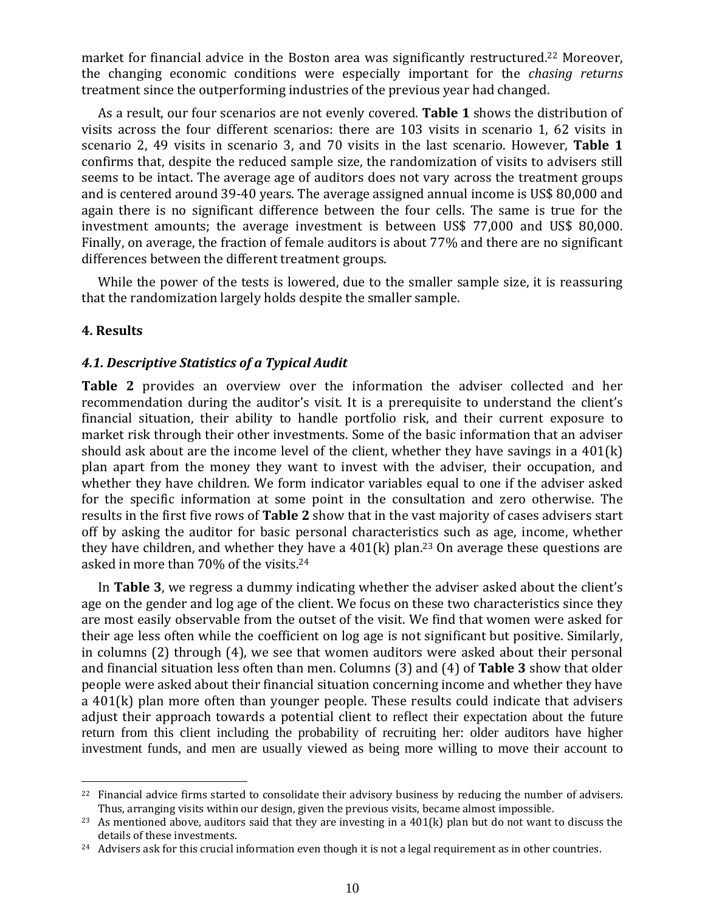market for financial advice in the Boston area was significantly restructured.<sup>22</sup> Moreover, the changing economic conditions were especially important for the *chasing returns* treatment since the outperforming industries of the previous year had changed.

As a result, our four scenarios are not evenly covered. **Table 1** shows the distribution of visits across the four different scenarios: there are 103 visits in scenario 1, 62 visits in scenario 2, 49 visits in scenario 3, and 70 visits in the last scenario. However, Table 1 confirms that, despite the reduced sample size, the randomization of visits to advisers still seems to be intact. The average age of auditors does not vary across the treatment groups and is centered around 39-40 years. The average assigned annual income is US\$ 80,000 and again there is no significant difference between the four cells. The same is true for the investment amounts; the average investment is between US\$ 77,000 and US\$ 80,000. Finally, on average, the fraction of female auditors is about 77% and there are no significant differences between the different treatment groups.

While the power of the tests is lowered, due to the smaller sample size, it is reassuring that the randomization largely holds despite the smaller sample.

# **4. Results**

 $\overline{a}$ 

# *4.1. Descriptive Statistics of a Typical Audit*

**Table 2** provides an overview over the information the adviser collected and her recommendation during the auditor's visit. It is a prerequisite to understand the client's financial situation, their ability to handle portfolio risk, and their current exposure to market risk through their other investments. Some of the basic information that an adviser should ask about are the income level of the client, whether they have savings in a  $401(k)$ plan apart from the money they want to invest with the adviser, their occupation, and whether they have children. We form indicator variables equal to one if the adviser asked for the specific information at some point in the consultation and zero otherwise. The results in the first five rows of **Table 2** show that in the vast majority of cases advisers start off by asking the auditor for basic personal characteristics such as age, income, whether they have children, and whether they have a  $401(k)$  plan.<sup>23</sup> On average these questions are asked in more than  $70\%$  of the visits. $24$ 

In Table 3, we regress a dummy indicating whether the adviser asked about the client's age on the gender and log age of the client. We focus on these two characteristics since they are most easily observable from the outset of the visit. We find that women were asked for their age less often while the coefficient on log age is not significant but positive. Similarly, in columns (2) through (4), we see that women auditors were asked about their personal and financial situation less often than men. Columns (3) and (4) of **Table 3** show that older people were asked about their financial situation concerning income and whether they have a  $401(k)$  plan more often than younger people. These results could indicate that advisers adjust their approach towards a potential client to reflect their expectation about the future return from this client including the probability of recruiting her: older auditors have higher investment funds, and men are usually viewed as being more willing to move their account to

 $22$  Financial advice firms started to consolidate their advisory business by reducing the number of advisers. Thus, arranging visits within our design, given the previous visits, became almost impossible.

<sup>&</sup>lt;sup>23</sup> As mentioned above, auditors said that they are investing in a  $401(k)$  plan but do not want to discuss the details of these investments.

 $24$  Advisers ask for this crucial information even though it is not a legal requirement as in other countries.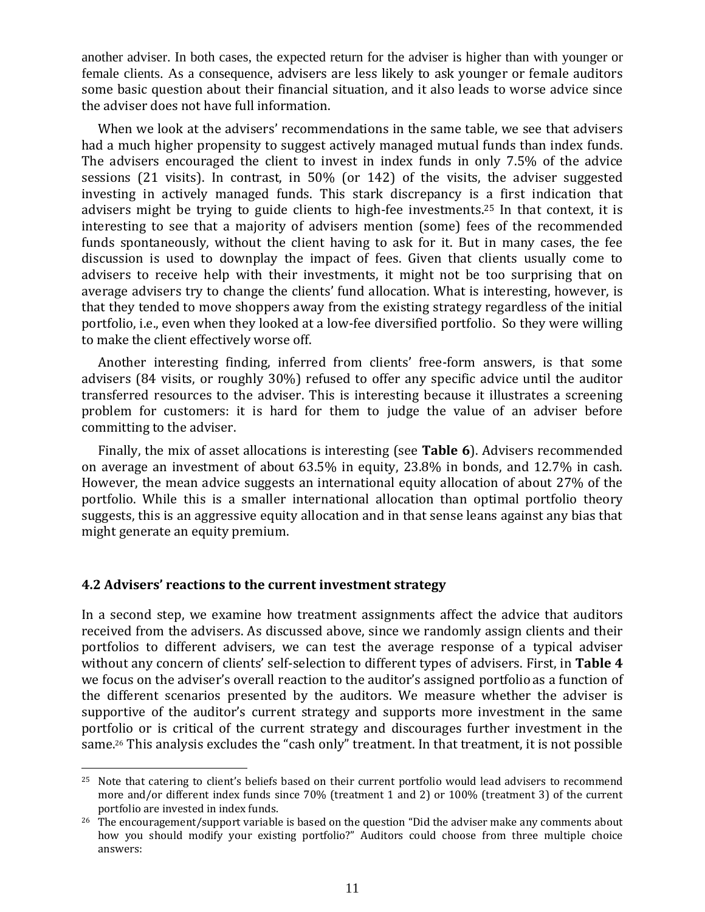another adviser. In both cases, the expected return for the adviser is higher than with younger or female clients. As a consequence, advisers are less likely to ask younger or female auditors some basic question about their financial situation, and it also leads to worse advice since the adviser does not have full information.

When we look at the advisers' recommendations in the same table, we see that advisers had a much higher propensity to suggest actively managed mutual funds than index funds. The advisers encouraged the client to invest in index funds in only  $7.5\%$  of the advice sessions  $(21 \text{ visits})$ . In contrast, in  $50\%$  (or  $142$ ) of the visits, the adviser suggested investing in actively managed funds. This stark discrepancy is a first indication that advisers might be trying to guide clients to high-fee investments.<sup>25</sup> In that context, it is interesting to see that a majority of advisers mention (some) fees of the recommended funds spontaneously, without the client having to ask for it. But in many cases, the fee discussion is used to downplay the impact of fees. Given that clients usually come to advisers to receive help with their investments, it might not be too surprising that on average advisers try to change the clients' fund allocation. What is interesting, however, is that they tended to move shoppers away from the existing strategy regardless of the initial portfolio, i.e., even when they looked at a low-fee diversified portfolio. So they were willing to make the client effectively worse off.

Another interesting finding, inferred from clients' free-form answers, is that some advisers (84 visits, or roughly 30%) refused to offer any specific advice until the auditor transferred resources to the adviser. This is interesting because it illustrates a screening problem for customers: it is hard for them to judge the value of an adviser before committing to the adviser.

Finally, the mix of asset allocations is interesting (see **Table 6**). Advisers recommended on average an investment of about  $63.5\%$  in equity,  $23.8\%$  in bonds, and  $12.7\%$  in cash. However, the mean advice suggests an international equity allocation of about 27% of the portfolio. While this is a smaller international allocation than optimal portfolio theory suggests, this is an aggressive equity allocation and in that sense leans against any bias that might generate an equity premium.

### **4.2 Advisers' reactions to the current investment strategy**

In a second step, we examine how treatment assignments affect the advice that auditors received from the advisers. As discussed above, since we randomly assign clients and their portfolios to different advisers, we can test the average response of a typical adviser without any concern of clients' self-selection to different types of advisers. First, in Table 4 we focus on the adviser's overall reaction to the auditor's assigned portfolio as a function of the different scenarios presented by the auditors. We measure whether the adviser is supportive of the auditor's current strategy and supports more investment in the same portfolio or is critical of the current strategy and discourages further investment in the same.<sup>26</sup> This analysis excludes the "cash only" treatment. In that treatment, it is not possible

 $\overline{a}$ <sup>25</sup> Note that catering to client's beliefs based on their current portfolio would lead advisers to recommend more and/or different index funds since 70% (treatment 1 and 2) or 100% (treatment 3) of the current portfolio are invested in index funds.

 $26$  The encouragement/support variable is based on the question "Did the adviser make any comments about how you should modify your existing portfolio?" Auditors could choose from three multiple choice answers: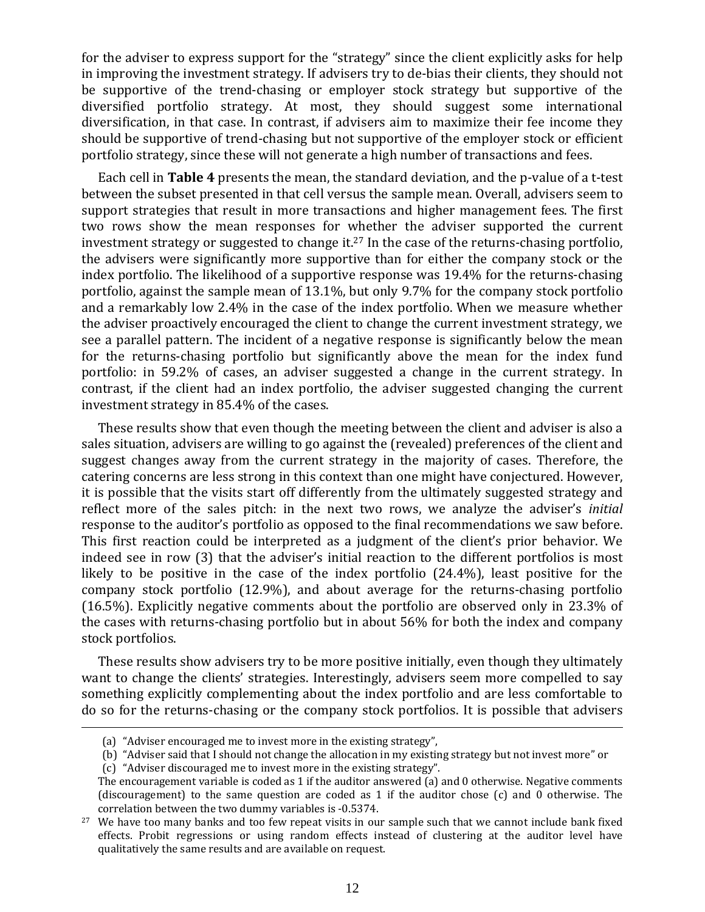for the adviser to express support for the "strategy" since the client explicitly asks for help in improving the investment strategy. If advisers try to de-bias their clients, they should not be supportive of the trend-chasing or employer stock strategy but supportive of the diversified portfolio strategy. At most, they should suggest some international diversification, in that case. In contrast, if advisers aim to maximize their fee income they should be supportive of trend-chasing but not supportive of the employer stock or efficient portfolio strategy, since these will not generate a high number of transactions and fees.

Each cell in **Table 4** presents the mean, the standard deviation, and the p-value of a t-test between the subset presented in that cell versus the sample mean. Overall, advisers seem to support strategies that result in more transactions and higher management fees. The first two rows show the mean responses for whether the adviser supported the current investment strategy or suggested to change it.<sup>27</sup> In the case of the returns-chasing portfolio, the advisers were significantly more supportive than for either the company stock or the index portfolio. The likelihood of a supportive response was 19.4% for the returns-chasing portfolio, against the sample mean of  $13.1\%$ , but only 9.7% for the company stock portfolio and a remarkably low 2.4% in the case of the index portfolio. When we measure whether the adviser proactively encouraged the client to change the current investment strategy, we see a parallel pattern. The incident of a negative response is significantly below the mean for the returns-chasing portfolio but significantly above the mean for the index fund portfolio: in 59.2% of cases, an adviser suggested a change in the current strategy. In contrast, if the client had an index portfolio, the adviser suggested changing the current investment strategy in 85.4% of the cases.

These results show that even though the meeting between the client and adviser is also a sales situation, advisers are willing to go against the (revealed) preferences of the client and suggest changes away from the current strategy in the majority of cases. Therefore, the catering concerns are less strong in this context than one might have conjectured. However, it is possible that the visits start off differently from the ultimately suggested strategy and reflect more of the sales pitch: in the next two rows, we analyze the adviser's *initial* response to the auditor's portfolio as opposed to the final recommendations we saw before. This first reaction could be interpreted as a judgment of the client's prior behavior. We indeed see in row (3) that the adviser's initial reaction to the different portfolios is most likely to be positive in the case of the index portfolio  $(24.4\%)$ , least positive for the company stock portfolio  $(12.9\%)$ , and about average for the returns-chasing portfolio  $(16.5\%)$ . Explicitly negative comments about the portfolio are observed only in 23.3% of the cases with returns-chasing portfolio but in about  $56\%$  for both the index and company stock portfolios.

These results show advisers try to be more positive initially, even though they ultimately want to change the clients' strategies. Interestingly, advisers seem more compelled to say something explicitly complementing about the index portfolio and are less comfortable to do so for the returns-chasing or the company stock portfolios. It is possible that advisers

 $\overline{a}$ 

<sup>(</sup>a) "Adviser encouraged me to invest more in the existing strategy",

<sup>(</sup>b) "Adviser said that I should not change the allocation in my existing strategy but not invest more" or

<sup>(</sup>c) "Adviser discouraged me to invest more in the existing strategy".

The encouragement variable is coded as 1 if the auditor answered  $(a)$  and 0 otherwise. Negative comments (discouragement) to the same question are coded as 1 if the auditor chose  $(c)$  and 0 otherwise. The correlation between the two dummy variables is  $-0.5374$ .

<sup>&</sup>lt;sup>27</sup> We have too many banks and too few repeat visits in our sample such that we cannot include bank fixed effects. Probit regressions or using random effects instead of clustering at the auditor level have qualitatively the same results and are available on request.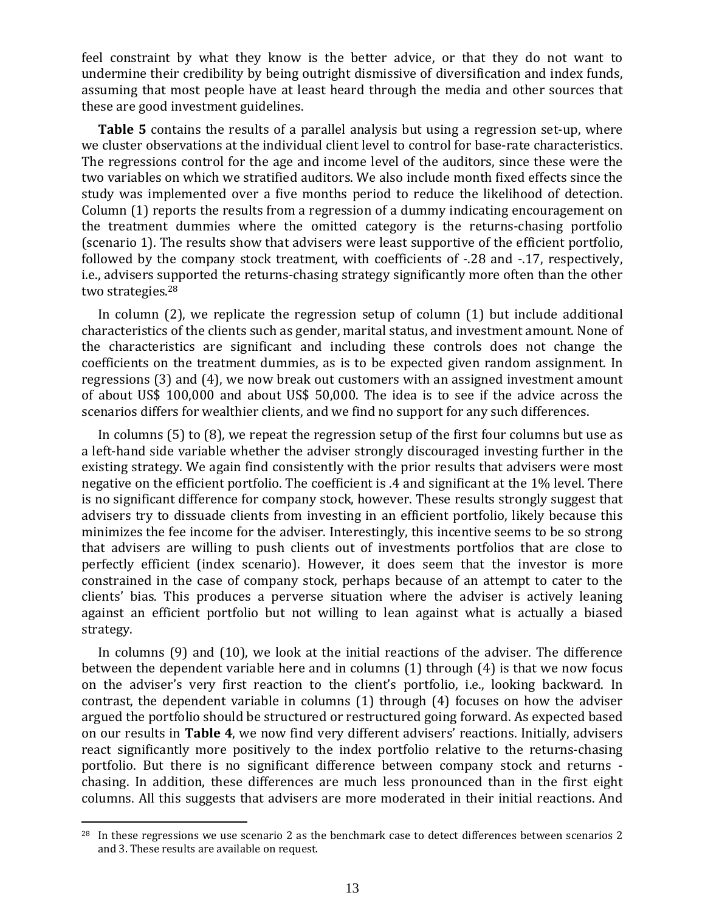feel constraint by what they know is the better advice, or that they do not want to undermine their credibility by being outright dismissive of diversification and index funds, assuming that most people have at least heard through the media and other sources that these are good investment guidelines.

**Table** 5 contains the results of a parallel analysis but using a regression set-up, where we cluster observations at the individual client level to control for base-rate characteristics. The regressions control for the age and income level of the auditors, since these were the two variables on which we stratified auditors. We also include month fixed effects since the study was implemented over a five months period to reduce the likelihood of detection. Column  $(1)$  reports the results from a regression of a dummy indicating encouragement on the treatment dummies where the omitted category is the returns-chasing portfolio (scenario 1). The results show that advisers were least supportive of the efficient portfolio, followed by the company stock treatment, with coefficients of -.28 and -.17, respectively, i.e., advisers supported the returns-chasing strategy significantly more often than the other two strategies.<sup>28</sup>

In column  $(2)$ , we replicate the regression setup of column  $(1)$  but include additional characteristics of the clients such as gender, marital status, and investment amount. None of the characteristics are significant and including these controls does not change the coefficients on the treatment dummies, as is to be expected given random assignment. In regressions (3) and (4), we now break out customers with an assigned investment amount of about US\$ 100,000 and about US\$ 50,000. The idea is to see if the advice across the scenarios differs for wealthier clients, and we find no support for any such differences.

In columns  $(5)$  to  $(8)$ , we repeat the regression setup of the first four columns but use as a left-hand side variable whether the adviser strongly discouraged investing further in the existing strategy. We again find consistently with the prior results that advisers were most negative on the efficient portfolio. The coefficient is .4 and significant at the 1% level. There is no significant difference for company stock, however. These results strongly suggest that advisers try to dissuade clients from investing in an efficient portfolio, likely because this minimizes the fee income for the adviser. Interestingly, this incentive seems to be so strong that advisers are willing to push clients out of investments portfolios that are close to perfectly efficient (index scenario). However, it does seem that the investor is more constrained in the case of company stock, perhaps because of an attempt to cater to the clients' bias. This produces a perverse situation where the adviser is actively leaning against an efficient portfolio but not willing to lean against what is actually a biased strategy. 

In columns  $(9)$  and  $(10)$ , we look at the initial reactions of the adviser. The difference between the dependent variable here and in columns  $(1)$  through  $(4)$  is that we now focus on the adviser's very first reaction to the client's portfolio, *i.e.*, looking backward. In contrast, the dependent variable in columns  $(1)$  through  $(4)$  focuses on how the adviser argued the portfolio should be structured or restructured going forward. As expected based on our results in Table 4, we now find very different advisers' reactions. Initially, advisers react significantly more positively to the index portfolio relative to the returns-chasing portfolio. But there is no significant difference between company stock and returns chasing. In addition, these differences are much less pronounced than in the first eight columns. All this suggests that advisers are more moderated in their initial reactions. And

 $\overline{a}$ 

 $28$  In these regressions we use scenario 2 as the benchmark case to detect differences between scenarios 2 and 3. These results are available on request.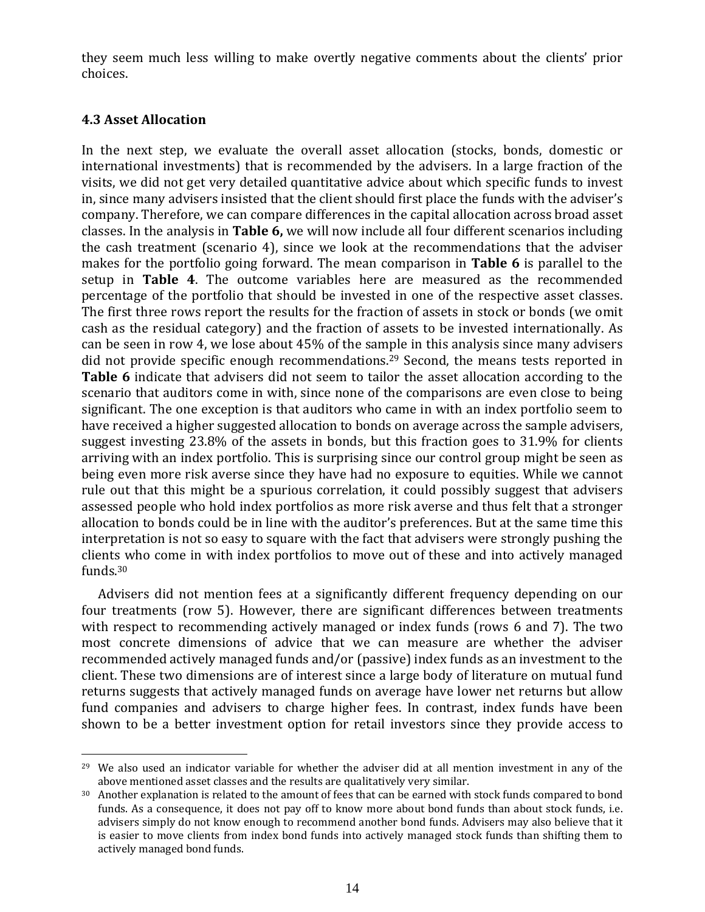they seem much less willing to make overtly negative comments about the clients' prior choices. 

# **4.3 Asset Allocation**

 $\overline{a}$ 

In the next step, we evaluate the overall asset allocation (stocks, bonds, domestic or international investments) that is recommended by the advisers. In a large fraction of the visits, we did not get very detailed quantitative advice about which specific funds to invest in, since many advisers insisted that the client should first place the funds with the adviser's company. Therefore, we can compare differences in the capital allocation across broad asset classes. In the analysis in **Table 6**, we will now include all four different scenarios including the cash treatment (scenario 4), since we look at the recommendations that the adviser makes for the portfolio going forward. The mean comparison in **Table 6** is parallel to the setup in Table 4. The outcome variables here are measured as the recommended percentage of the portfolio that should be invested in one of the respective asset classes. The first three rows report the results for the fraction of assets in stock or bonds (we omit cash as the residual category) and the fraction of assets to be invested internationally. As can be seen in row 4, we lose about  $45\%$  of the sample in this analysis since many advisers did not provide specific enough recommendations.<sup>29</sup> Second, the means tests reported in **Table** 6 indicate that advisers did not seem to tailor the asset allocation according to the scenario that auditors come in with, since none of the comparisons are even close to being significant. The one exception is that auditors who came in with an index portfolio seem to have received a higher suggested allocation to bonds on average across the sample advisers, suggest investing  $23.8\%$  of the assets in bonds, but this fraction goes to  $31.9\%$  for clients arriving with an index portfolio. This is surprising since our control group might be seen as being even more risk averse since they have had no exposure to equities. While we cannot rule out that this might be a spurious correlation, it could possibly suggest that advisers assessed people who hold index portfolios as more risk averse and thus felt that a stronger allocation to bonds could be in line with the auditor's preferences. But at the same time this interpretation is not so easy to square with the fact that advisers were strongly pushing the clients who come in with index portfolios to move out of these and into actively managed funds.30

Advisers did not mention fees at a significantly different frequency depending on our four treatments (row 5). However, there are significant differences between treatments with respect to recommending actively managed or index funds (rows  $6$  and  $7$ ). The two most concrete dimensions of advice that we can measure are whether the adviser recommended actively managed funds and/or (passive) index funds as an investment to the client. These two dimensions are of interest since a large body of literature on mutual fund returns suggests that actively managed funds on average have lower net returns but allow fund companies and advisers to charge higher fees. In contrast, index funds have been shown to be a better investment option for retail investors since they provide access to

<sup>&</sup>lt;sup>29</sup> We also used an indicator variable for whether the adviser did at all mention investment in any of the above mentioned asset classes and the results are qualitatively very similar.

<sup>&</sup>lt;sup>30</sup> Another explanation is related to the amount of fees that can be earned with stock funds compared to bond funds. As a consequence, it does not pay off to know more about bond funds than about stock funds, i.e. advisers simply do not know enough to recommend another bond funds. Advisers may also believe that it is easier to move clients from index bond funds into actively managed stock funds than shifting them to actively managed bond funds.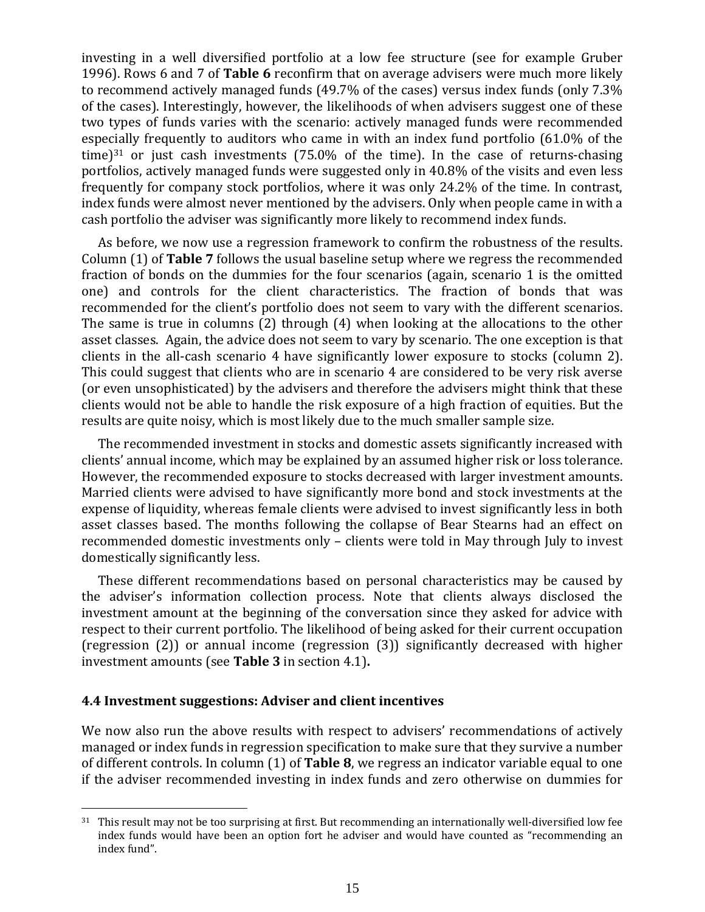investing in a well diversified portfolio at a low fee structure (see for example Gruber 1996). Rows 6 and 7 of **Table 6** reconfirm that on average advisers were much more likely to recommend actively managed funds  $(49.7%$  of the cases) versus index funds  $(0)$ nly  $7.3%$ of the cases). Interestingly, however, the likelihoods of when advisers suggest one of these two types of funds varies with the scenario: actively managed funds were recommended especially frequently to auditors who came in with an index fund portfolio  $(61.0\%$  of the time) $31$  or just cash investments  $(75.0\%$  of the time). In the case of returns-chasing portfolios, actively managed funds were suggested only in 40.8% of the visits and even less frequently for company stock portfolios, where it was only 24.2% of the time. In contrast, index funds were almost never mentioned by the advisers. Only when people came in with a cash portfolio the adviser was significantly more likely to recommend index funds.

As before, we now use a regression framework to confirm the robustness of the results. Column (1) of **Table** 7 follows the usual baseline setup where we regress the recommended fraction of bonds on the dummies for the four scenarios (again, scenario 1 is the omitted one) and controls for the client characteristics. The fraction of bonds that was recommended for the client's portfolio does not seem to vary with the different scenarios. The same is true in columns  $(2)$  through  $(4)$  when looking at the allocations to the other asset classes. Again, the advice does not seem to vary by scenario. The one exception is that clients in the all-cash scenario 4 have significantly lower exposure to stocks (column 2). This could suggest that clients who are in scenario 4 are considered to be very risk averse (or even unsophisticated) by the advisers and therefore the advisers might think that these clients would not be able to handle the risk exposure of a high fraction of equities. But the results are quite noisy, which is most likely due to the much smaller sample size.

The recommended investment in stocks and domestic assets significantly increased with clients' annual income, which may be explained by an assumed higher risk or loss tolerance. However, the recommended exposure to stocks decreased with larger investment amounts. Married clients were advised to have significantly more bond and stock investments at the expense of liquidity, whereas female clients were advised to invest significantly less in both asset classes based. The months following the collapse of Bear Stearns had an effect on recommended domestic investments only - clients were told in May through July to invest domestically significantly less.

These different recommendations based on personal characteristics may be caused by the adviser's information collection process. Note that clients always disclosed the investment amount at the beginning of the conversation since they asked for advice with respect to their current portfolio. The likelihood of being asked for their current occupation (regression  $(2)$ ) or annual income (regression  $(3)$ ) significantly decreased with higher investment amounts (see Table 3 in section 4.1).

### **4.4 Investment suggestions: Adviser and client incentives**

 $\overline{a}$ 

We now also run the above results with respect to advisers' recommendations of actively managed or index funds in regression specification to make sure that they survive a number of different controls. In column (1) of Table 8, we regress an indicator variable equal to one if the adviser recommended investing in index funds and zero otherwise on dummies for

<sup>31</sup> This result may not be too surprising at first. But recommending an internationally well-diversified low fee index funds would have been an option fort he adviser and would have counted as "recommending an index fund".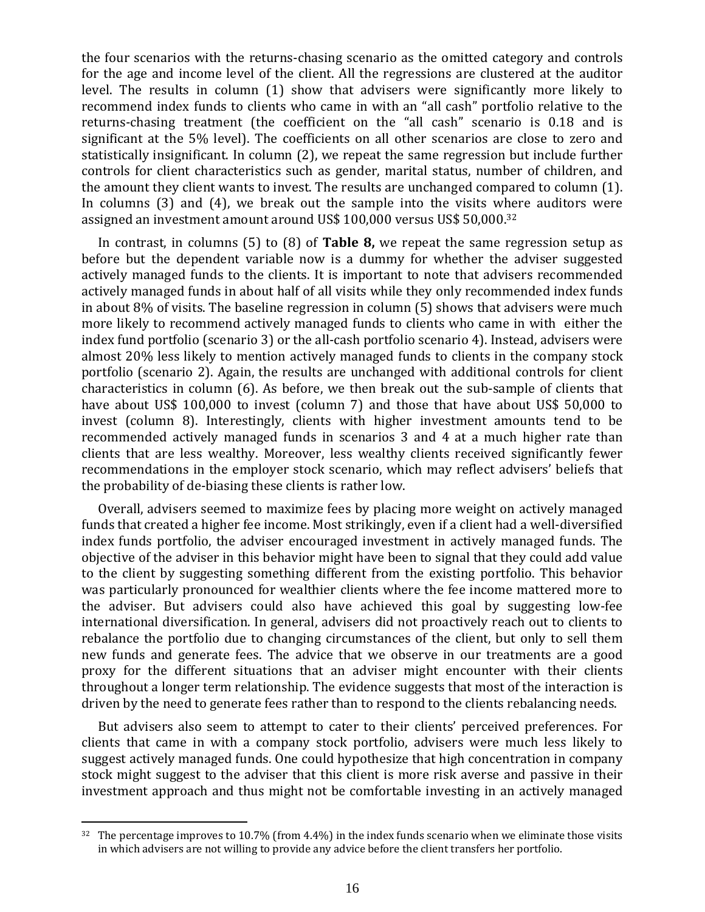the four scenarios with the returns-chasing scenario as the omitted category and controls for the age and income level of the client. All the regressions are clustered at the auditor level. The results in column (1) show that advisers were significantly more likely to recommend index funds to clients who came in with an "all cash" portfolio relative to the returns-chasing treatment (the coefficient on the "all cash" scenario is 0.18 and is significant at the 5% level). The coefficients on all other scenarios are close to zero and statistically insignificant. In column (2), we repeat the same regression but include further controls for client characteristics such as gender, marital status, number of children, and the amount they client wants to invest. The results are unchanged compared to column  $(1)$ . In columns  $(3)$  and  $(4)$ , we break out the sample into the visits where auditors were assigned an investment amount around US\$ 100,000 versus US\$ 50,000.32

In contrast, in columns (5) to (8) of **Table 8**, we repeat the same regression setup as before but the dependent variable now is a dummy for whether the adviser suggested actively managed funds to the clients. It is important to note that advisers recommended actively managed funds in about half of all visits while they only recommended index funds in about  $8\%$  of visits. The baseline regression in column  $(5)$  shows that advisers were much more likely to recommend actively managed funds to clients who came in with either the index fund portfolio (scenario 3) or the all-cash portfolio scenario 4). Instead, advisers were almost 20% less likely to mention actively managed funds to clients in the company stock portfolio (scenario 2). Again, the results are unchanged with additional controls for client characteristics in column  $(6)$ . As before, we then break out the sub-sample of clients that have about US\$ 100,000 to invest (column 7) and those that have about US\$ 50,000 to invest (column 8). Interestingly, clients with higher investment amounts tend to be recommended actively managed funds in scenarios 3 and 4 at a much higher rate than clients that are less wealthy. Moreover, less wealthy clients received significantly fewer recommendations in the employer stock scenario, which may reflect advisers' beliefs that the probability of de-biasing these clients is rather low.

Overall, advisers seemed to maximize fees by placing more weight on actively managed funds that created a higher fee income. Most strikingly, even if a client had a well-diversified index funds portfolio, the adviser encouraged investment in actively managed funds. The objective of the adviser in this behavior might have been to signal that they could add value to the client by suggesting something different from the existing portfolio. This behavior was particularly pronounced for wealthier clients where the fee income mattered more to the adviser. But advisers could also have achieved this goal by suggesting low-fee international diversification. In general, advisers did not proactively reach out to clients to rebalance the portfolio due to changing circumstances of the client, but only to sell them new funds and generate fees. The advice that we observe in our treatments are a good proxy for the different situations that an adviser might encounter with their clients throughout a longer term relationship. The evidence suggests that most of the interaction is driven by the need to generate fees rather than to respond to the clients rebalancing needs.

But advisers also seem to attempt to cater to their clients' perceived preferences. For clients that came in with a company stock portfolio, advisers were much less likely to suggest actively managed funds. One could hypothesize that high concentration in company stock might suggest to the adviser that this client is more risk averse and passive in their investment approach and thus might not be comfortable investing in an actively managed

 $\overline{a}$ 

 $32$  The percentage improves to 10.7% (from 4.4%) in the index funds scenario when we eliminate those visits in which advisers are not willing to provide any advice before the client transfers her portfolio.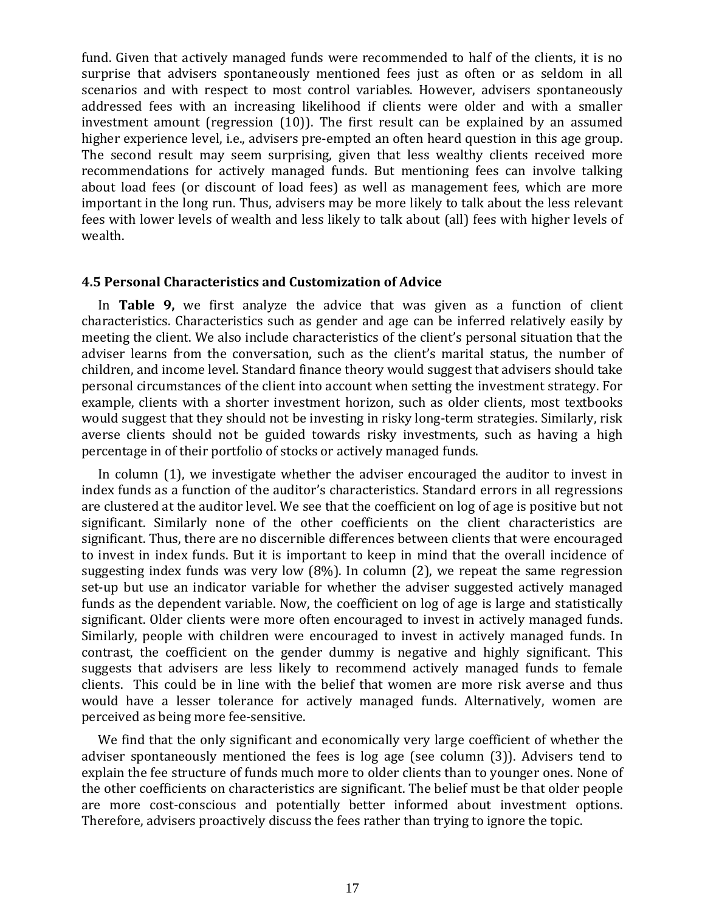fund. Given that actively managed funds were recommended to half of the clients, it is no surprise that advisers spontaneously mentioned fees just as often or as seldom in all scenarios and with respect to most control variables. However, advisers spontaneously addressed fees with an increasing likelihood if clients were older and with a smaller investment amount (regression  $(10)$ ). The first result can be explained by an assumed higher experience level, i.e., advisers pre-empted an often heard question in this age group. The second result may seem surprising, given that less wealthy clients received more recommendations for actively managed funds. But mentioning fees can involve talking about load fees (or discount of load fees) as well as management fees, which are more important in the long run. Thus, advisers may be more likely to talk about the less relevant fees with lower levels of wealth and less likely to talk about (all) fees with higher levels of wealth. 

#### **4.5 Personal Characteristics and Customization of Advice**

In **Table 9,** we first analyze the advice that was given as a function of client characteristics. Characteristics such as gender and age can be inferred relatively easily by meeting the client. We also include characteristics of the client's personal situation that the adviser learns from the conversation, such as the client's marital status, the number of children, and income level. Standard finance theory would suggest that advisers should take personal circumstances of the client into account when setting the investment strategy. For example, clients with a shorter investment horizon, such as older clients, most textbooks would suggest that they should not be investing in risky long-term strategies. Similarly, risk averse clients should not be guided towards risky investments, such as having a high percentage in of their portfolio of stocks or actively managed funds.

In column  $(1)$ , we investigate whether the adviser encouraged the auditor to invest in index funds as a function of the auditor's characteristics. Standard errors in all regressions are clustered at the auditor level. We see that the coefficient on log of age is positive but not significant. Similarly none of the other coefficients on the client characteristics are significant. Thus, there are no discernible differences between clients that were encouraged to invest in index funds. But it is important to keep in mind that the overall incidence of suggesting index funds was very low  $(8%)$ . In column  $(2)$ , we repeat the same regression set-up but use an indicator variable for whether the adviser suggested actively managed funds as the dependent variable. Now, the coefficient on log of age is large and statistically significant. Older clients were more often encouraged to invest in actively managed funds. Similarly, people with children were encouraged to invest in actively managed funds. In contrast, the coefficient on the gender dummy is negative and highly significant. This suggests that advisers are less likely to recommend actively managed funds to female clients. This could be in line with the belief that women are more risk averse and thus would have a lesser tolerance for actively managed funds. Alternatively, women are perceived as being more fee-sensitive.

We find that the only significant and economically very large coefficient of whether the adviser spontaneously mentioned the fees is log age (see column (3)). Advisers tend to explain the fee structure of funds much more to older clients than to younger ones. None of the other coefficients on characteristics are significant. The belief must be that older people are more cost-conscious and potentially better informed about investment options. Therefore, advisers proactively discuss the fees rather than trying to ignore the topic.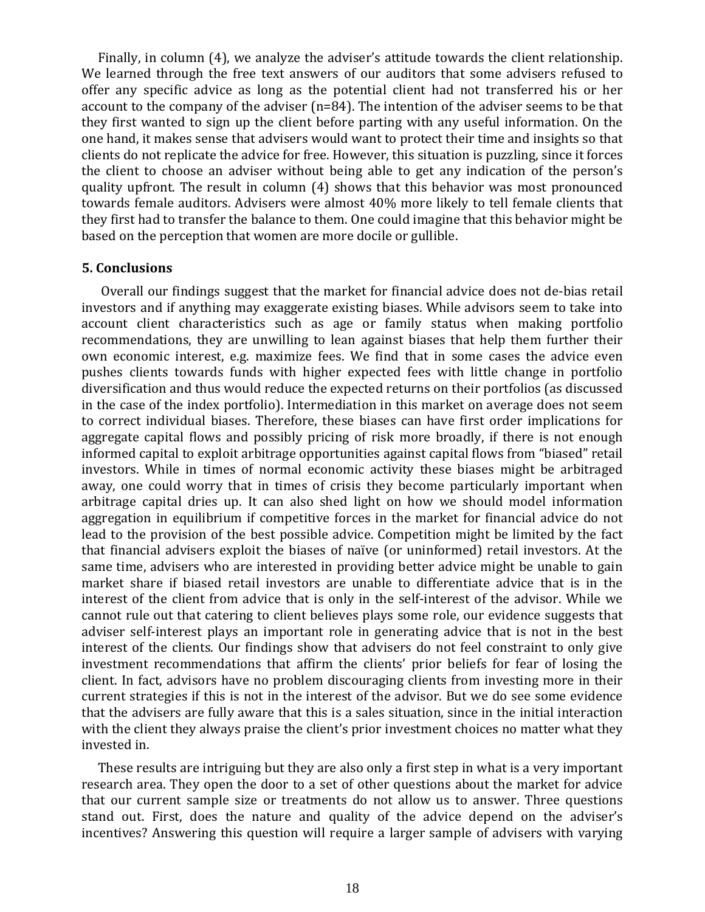Finally, in column (4), we analyze the adviser's attitude towards the client relationship. We learned through the free text answers of our auditors that some advisers refused to offer any specific advice as long as the potential client had not transferred his or her account to the company of the adviser  $(n=84)$ . The intention of the adviser seems to be that they first wanted to sign up the client before parting with any useful information. On the one hand, it makes sense that advisers would want to protect their time and insights so that clients do not replicate the advice for free. However, this situation is puzzling, since it forces the client to choose an adviser without being able to get any indication of the person's quality upfront. The result in column (4) shows that this behavior was most pronounced towards female auditors. Advisers were almost 40% more likely to tell female clients that they first had to transfer the balance to them. One could imagine that this behavior might be based on the perception that women are more docile or gullible.

#### **5. Conclusions**

Overall our findings suggest that the market for financial advice does not de-bias retail investors and if anything may exaggerate existing biases. While advisors seem to take into account client characteristics such as age or family status when making portfolio recommendations, they are unwilling to lean against biases that help them further their own economic interest, e.g. maximize fees. We find that in some cases the advice even pushes clients towards funds with higher expected fees with little change in portfolio diversification and thus would reduce the expected returns on their portfolios (as discussed in the case of the index portfolio). Intermediation in this market on average does not seem to correct individual biases. Therefore, these biases can have first order implications for aggregate capital flows and possibly pricing of risk more broadly, if there is not enough informed capital to exploit arbitrage opportunities against capital flows from "biased" retail investors. While in times of normal economic activity these biases might be arbitraged away, one could worry that in times of crisis they become particularly important when arbitrage capital dries up. It can also shed light on how we should model information aggregation in equilibrium if competitive forces in the market for financial advice do not lead to the provision of the best possible advice. Competition might be limited by the fact that financial advisers exploit the biases of naïve (or uninformed) retail investors. At the same time, advisers who are interested in providing better advice might be unable to gain market share if biased retail investors are unable to differentiate advice that is in the interest of the client from advice that is only in the self-interest of the advisor. While we cannot rule out that catering to client believes plays some role, our evidence suggests that adviser self-interest plays an important role in generating advice that is not in the best interest of the clients. Our findings show that advisers do not feel constraint to only give investment recommendations that affirm the clients' prior beliefs for fear of losing the client. In fact, advisors have no problem discouraging clients from investing more in their current strategies if this is not in the interest of the advisor. But we do see some evidence that the advisers are fully aware that this is a sales situation, since in the initial interaction with the client they always praise the client's prior investment choices no matter what they invested in.

These results are intriguing but they are also only a first step in what is a very important research area. They open the door to a set of other questions about the market for advice that our current sample size or treatments do not allow us to answer. Three questions stand out. First, does the nature and quality of the advice depend on the adviser's incentives? Answering this question will require a larger sample of advisers with varying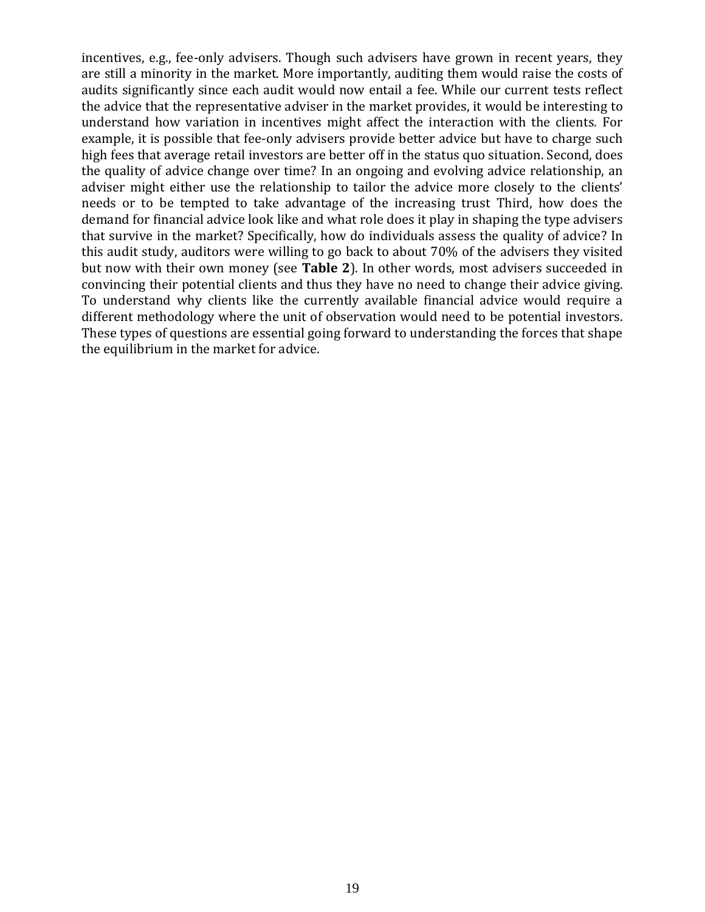incentives, e.g., fee-only advisers. Though such advisers have grown in recent years, they are still a minority in the market. More importantly, auditing them would raise the costs of audits significantly since each audit would now entail a fee. While our current tests reflect the advice that the representative adviser in the market provides, it would be interesting to understand how variation in incentives might affect the interaction with the clients. For example, it is possible that fee-only advisers provide better advice but have to charge such high fees that average retail investors are better off in the status quo situation. Second, does the quality of advice change over time? In an ongoing and evolving advice relationship, an adviser might either use the relationship to tailor the advice more closely to the clients' needs or to be tempted to take advantage of the increasing trust Third, how does the demand for financial advice look like and what role does it play in shaping the type advisers that survive in the market? Specifically, how do individuals assess the quality of advice? In this audit study, auditors were willing to go back to about  $70\%$  of the advisers they visited but now with their own money (see Table 2). In other words, most advisers succeeded in convincing their potential clients and thus they have no need to change their advice giving. To understand why clients like the currently available financial advice would require a different methodology where the unit of observation would need to be potential investors. These types of questions are essential going forward to understanding the forces that shape the equilibrium in the market for advice.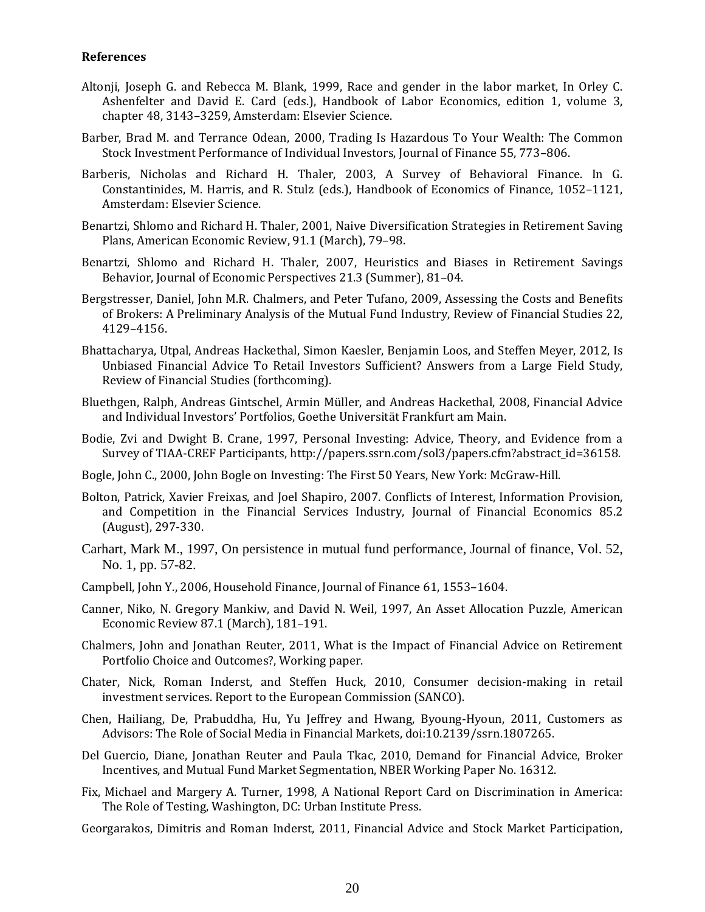#### **References**

- Altonji, Joseph G. and Rebecca M. Blank, 1999, Race and gender in the labor market, In Orley C. Ashenfelter and David E. Card (eds.), Handbook of Labor Economics, edition 1, volume 3, chapter 48, 3143-3259, Amsterdam: Elsevier Science.
- Barber, Brad M. and Terrance Odean, 2000, Trading Is Hazardous To Your Wealth: The Common Stock Investment Performance of Individual Investors, Journal of Finance 55, 773-806.
- Barberis, Nicholas and Richard H. Thaler, 2003, A Survey of Behavioral Finance. In G. Constantinides, M. Harris, and R. Stulz (eds.), Handbook of Economics of Finance, 1052-1121, Amsterdam: Elsevier Science.
- Benartzi, Shlomo and Richard H. Thaler, 2001, Naive Diversification Strategies in Retirement Saving Plans, American Economic Review, 91.1 (March), 79-98.
- Benartzi, Shlomo and Richard H. Thaler, 2007, Heuristics and Biases in Retirement Savings Behavior, Journal of Economic Perspectives 21.3 (Summer), 81-04.
- Bergstresser, Daniel, John M.R. Chalmers, and Peter Tufano, 2009, Assessing the Costs and Benefits of Brokers: A Preliminary Analysis of the Mutual Fund Industry, Review of Financial Studies 22, 4129–4156.
- Bhattacharya, Utpal, Andreas Hackethal, Simon Kaesler, Benjamin Loos, and Steffen Meyer, 2012, Is Unbiased Financial Advice To Retail Investors Sufficient? Answers from a Large Field Study, Review of Financial Studies (forthcoming).
- Bluethgen, Ralph, Andreas Gintschel, Armin Müller, and Andreas Hackethal, 2008, Financial Advice and Individual Investors' Portfolios, Goethe Universität Frankfurt am Main.
- Bodie, Zvi and Dwight B. Crane, 1997, Personal Investing: Advice, Theory, and Evidence from a Survey of TIAA-CREF Participants, http://papers.ssrn.com/sol3/papers.cfm?abstract\_id=36158.
- Bogle, John C., 2000, John Bogle on Investing: The First 50 Years, New York: McGraw-Hill.
- Bolton, Patrick, Xavier Freixas, and Joel Shapiro, 2007. Conflicts of Interest, Information Provision, and Competition in the Financial Services Industry, Journal of Financial Economics 85.2 (August), 297‐330.
- Carhart, Mark M., 1997, On persistence in mutual fund performance, Journal of finance, Vol. 52, No. 1, pp. 57-82.
- Campbell, John Y., 2006, Household Finance, Journal of Finance 61, 1553-1604.
- Canner, Niko, N. Gregory Mankiw, and David N. Weil, 1997, An Asset Allocation Puzzle, American Economic Review 87.1 (March), 181-191.
- Chalmers, John and Jonathan Reuter, 2011, What is the Impact of Financial Advice on Retirement Portfolio Choice and Outcomes?, Working paper.
- Chater, Nick, Roman Inderst, and Steffen Huck, 2010, Consumer decision-making in retail investment services. Report to the European Commission (SANCO).
- Chen, Hailiang, De, Prabuddha, Hu, Yu Jeffrey and Hwang, Byoung-Hyoun, 2011, Customers as Advisors: The Role of Social Media in Financial Markets, doi:10.2139/ssrn.1807265.
- Del Guercio, Diane, Jonathan Reuter and Paula Tkac, 2010, Demand for Financial Advice, Broker Incentives, and Mutual Fund Market Segmentation, NBER Working Paper No. 16312.

Fix, Michael and Margery A. Turner, 1998, A National Report Card on Discrimination in America: The Role of Testing, Washington, DC: Urban Institute Press.

Georgarakos, Dimitris and Roman Inderst, 2011, Financial Advice and Stock Market Participation,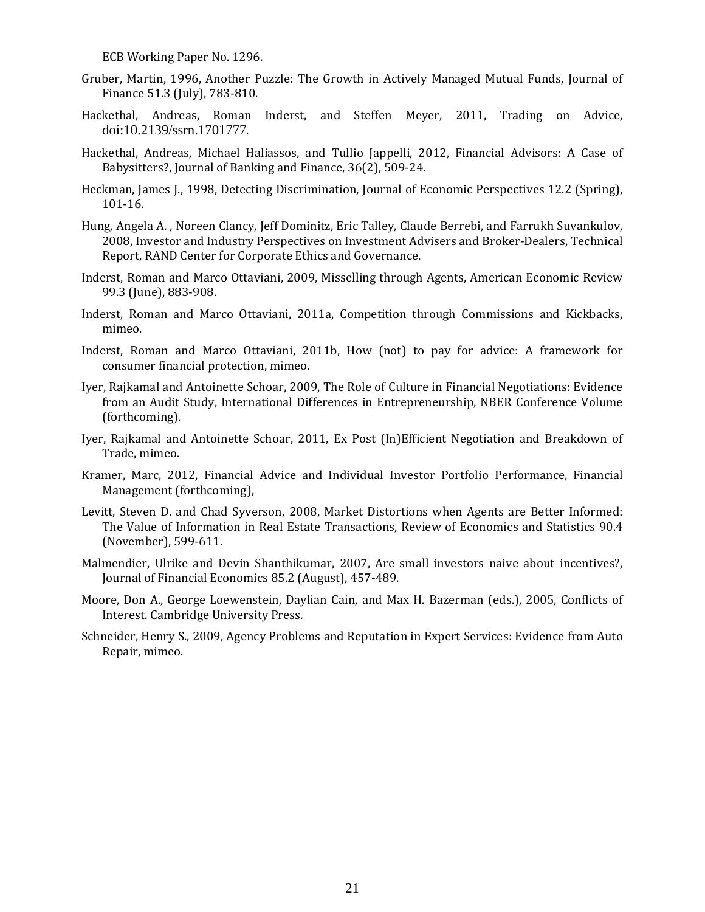ECB Working Paper No. 1296.

- Gruber, Martin, 1996, Another Puzzle: The Growth in Actively Managed Mutual Funds, Journal of Finance 51.3 (July), 783-810.
- Hackethal, Andreas, Roman Inderst, and Steffen Meyer, 2011, Trading on Advice, doi:10.2139/ssrn.1701777.
- Hackethal, Andreas, Michael Haliassos, and Tullio Jappelli, 2012, Financial Advisors: A Case of Babysitters?, Journal of Banking and Finance, 36(2), 509-24.
- Heckman, James J., 1998, Detecting Discrimination, Journal of Economic Perspectives 12.2 (Spring), 101‐16.
- Hung, Angela A., Noreen Clancy, Jeff Dominitz, Eric Talley, Claude Berrebi, and Farrukh Suvankulov, 2008, Investor and Industry Perspectives on Investment Advisers and Broker-Dealers, Technical Report, RAND Center for Corporate Ethics and Governance.
- Inderst, Roman and Marco Ottaviani, 2009, Misselling through Agents, American Economic Review 99.3 (June), 883-908.
- Inderst, Roman and Marco Ottaviani, 2011a, Competition through Commissions and Kickbacks, mimeo.
- Inderst, Roman and Marco Ottaviani, 2011b, How (not) to pay for advice: A framework for consumer financial protection, mimeo.
- Iyer, Rajkamal and Antoinette Schoar, 2009, The Role of Culture in Financial Negotiations: Evidence from an Audit Study, International Differences in Entrepreneurship, NBER Conference Volume (forthcoming).
- Iyer, Rajkamal and Antoinette Schoar, 2011, Ex Post (In)Efficient Negotiation and Breakdown of Trade, mimeo.
- Kramer, Marc, 2012, Financial Advice and Individual Investor Portfolio Performance, Financial Management (forthcoming),
- Levitt, Steven D. and Chad Syverson, 2008, Market Distortions when Agents are Better Informed: The Value of Information in Real Estate Transactions, Review of Economics and Statistics 90.4 (November), 599-611.
- Malmendier, Ulrike and Devin Shanthikumar, 2007, Are small investors naive about incentives?, Journal of Financial Economics 85.2 (August), 457‐489.
- Moore, Don A., George Loewenstein, Daylian Cain, and Max H. Bazerman (eds.), 2005, Conflicts of Interest. Cambridge University Press.
- Schneider, Henry S., 2009, Agency Problems and Reputation in Expert Services: Evidence from Auto Repair, mimeo.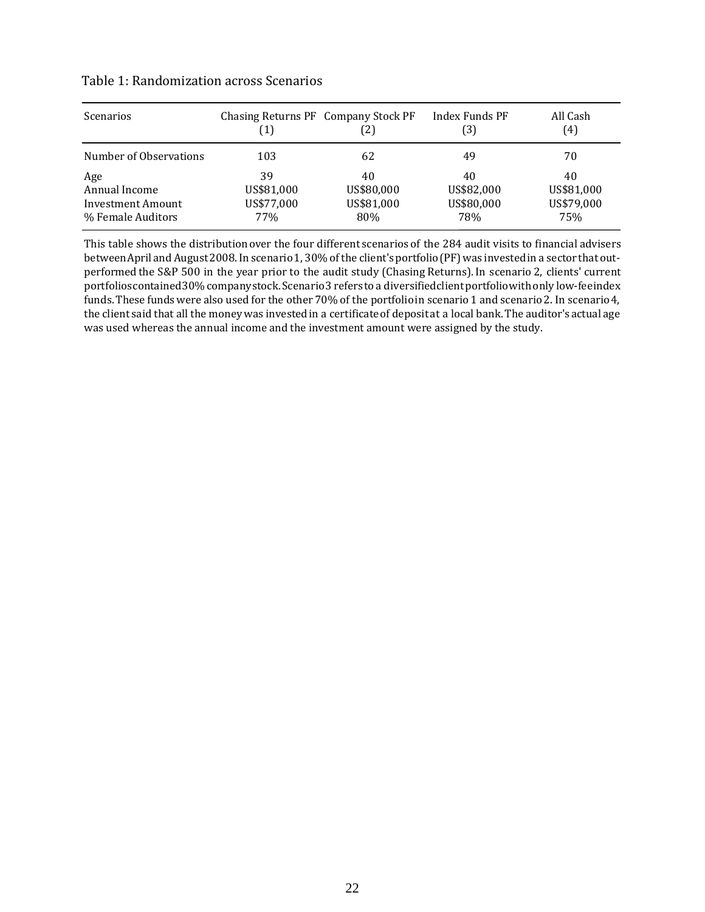| <b>Scenarios</b>                                               | Chasing Returns PF Company Stock PF   |                                       | Index Funds PF<br>[3]                 | All Cash<br>(4)                       |
|----------------------------------------------------------------|---------------------------------------|---------------------------------------|---------------------------------------|---------------------------------------|
| Number of Observations                                         | 103                                   | 62                                    | 49                                    | 70                                    |
| Age<br>Annual Income<br>Investment Amount<br>% Female Auditors | 39<br>US\$81,000<br>US\$77,000<br>77% | 40<br>US\$80,000<br>US\$81,000<br>80% | 40<br>US\$82,000<br>US\$80,000<br>78% | 40<br>US\$81,000<br>US\$79,000<br>75% |

#### Table 1: Randomization across Scenarios

This table shows the distributionover the four different scenarios of the 284 audit visits to financial advisers betweenApril and August 2008. In scenario 1, 30% of the client's portfolio (PF) was invested in a sector that outperformed the S&P 500 in the year prior to the audit study (Chasing Returns). In scenario 2, clients' current portfolioscontained30% companystock. Scenario3 refers to a diversifiedclient portfolio with only low-fee index funds. These funds were also used for the other 70% of the portfolioin scenario 1 and scenario 2. In scenario 4, the client said that all the moneywas investedin a certificateof deposit at a local bank. The auditor'sactual age was used whereas the annual income and the investment amount were assigned by the study.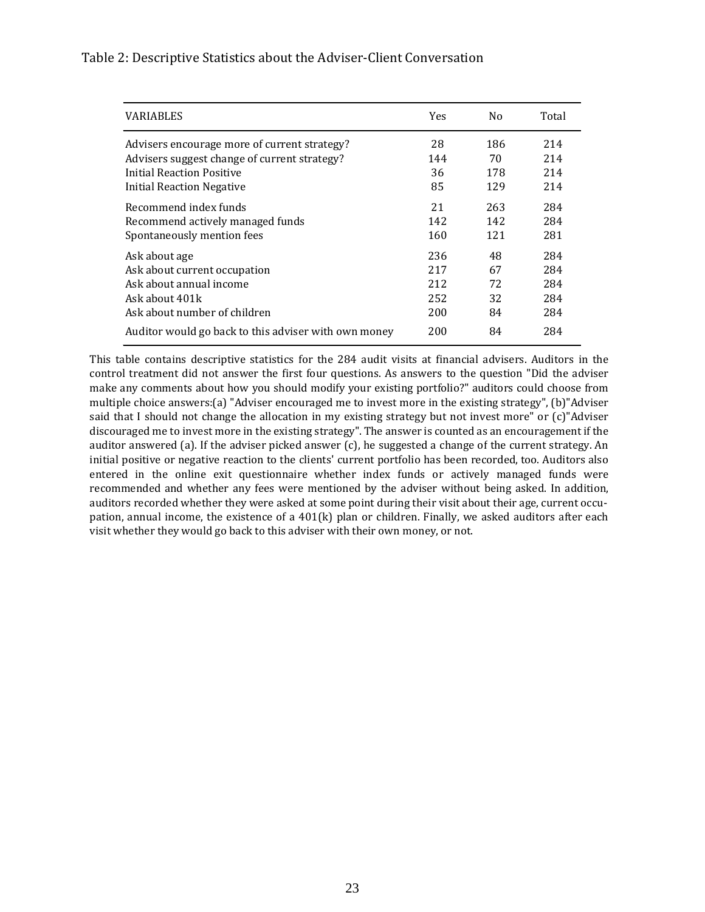### Table 2: Descriptive Statistics about the Adviser-Client Conversation

| <b>VARIABLES</b>                                     | Yes | N <sub>0</sub> | Total |
|------------------------------------------------------|-----|----------------|-------|
| Advisers encourage more of current strategy?         | 28  | 186            | 214   |
| Advisers suggest change of current strategy?         | 144 | 70             | 214   |
| <b>Initial Reaction Positive</b>                     | 36  | 178            | 214   |
| Initial Reaction Negative                            | 85  | 129            | 214   |
| Recommend index funds                                | 21  | 263            | 284   |
| Recommend actively managed funds                     | 142 | 142            | 284   |
| Spontaneously mention fees                           | 160 | 121            | 281   |
| Ask about age                                        | 236 | 48             | 284   |
| Ask about current occupation                         | 217 | 67             | 284   |
| Ask about annual income                              | 212 | 72             | 284   |
| Ask about 401k                                       | 252 | 32             | 284   |
| Ask about number of children                         | 200 | 84             | 284   |
| Auditor would go back to this adviser with own money | 200 | 84             | 284   |

This table contains descriptive statistics for the 284 audit visits at financial advisers. Auditors in the control treatment did not answer the first four questions. As answers to the question "Did the adviser make any comments about how you should modify your existing portfolio?" auditors could choose from multiple choice answers:(a) "Adviser encouraged me to invest more in the existing strategy", (b)"Adviser said that I should not change the allocation in my existing strategy but not invest more" or (c)"Adviser discouraged me to invest more in the existing strategy". The answer is counted as an encouragement if the auditor answered (a). If the adviser picked answer (c), he suggested a change of the current strategy. An initial positive or negative reaction to the clients' current portfolio has been recorded, too. Auditors also entered in the online exit questionnaire whether index funds or actively managed funds were recommended and whether any fees were mentioned by the adviser without being asked. In addition, auditors recorded whether they were asked at some point during their visit about their age, current occupation, annual income, the existence of a 401(k) plan or children. Finally, we asked auditors after each visit whether they would go back to this adviser with their own money, or not.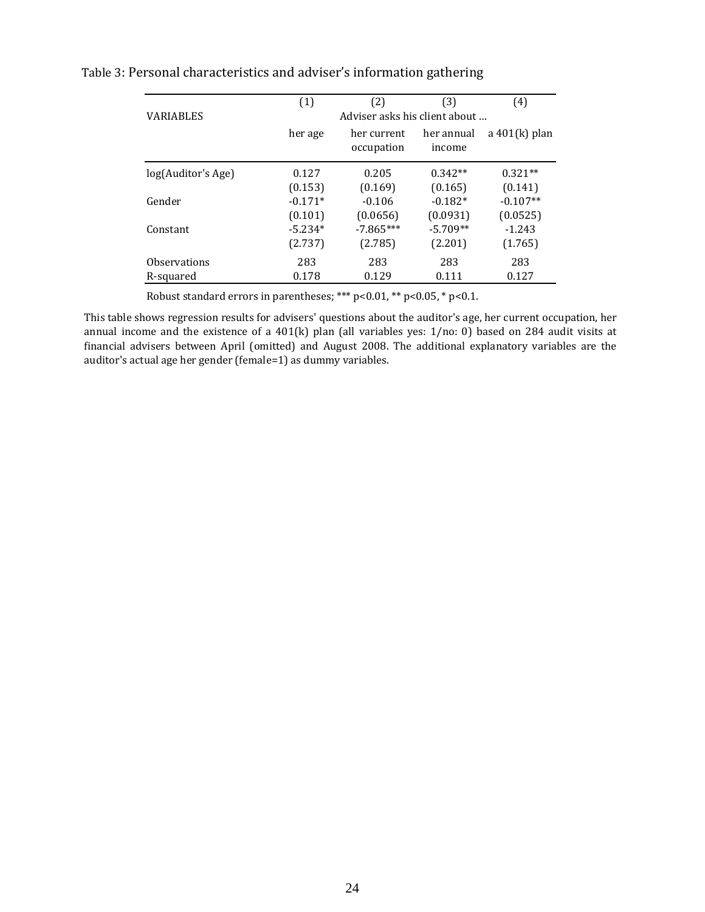|                    | (1)       | (2)                           | (3)                  | (4)             |
|--------------------|-----------|-------------------------------|----------------------|-----------------|
| <b>VARIABLES</b>   |           | Adviser asks his client about |                      |                 |
|                    | her age   | her current<br>occupation     | her annual<br>income | a $401(k)$ plan |
| log(Auditor's Age) | 0.127     | 0.205                         | $0.342**$            | $0.321**$       |
|                    | (0.153)   | (0.169)                       | (0.165)              | (0.141)         |
| Gender             | $-0.171*$ | $-0.106$                      | $-0.182*$            | $-0.107**$      |
|                    | (0.101)   | (0.0656)                      | (0.0931)             | (0.0525)        |
| Constant           | $-5.234*$ | $-7.865***$                   | $-5.709**$           | $-1.243$        |
|                    | (2.737)   | (2.785)                       | (2.201)              | (1.765)         |
| Observations       | 283       | 283                           | 283                  | 283             |
| R-squared          | 0.178     | 0.129                         | 0.111                | 0.127           |

# Table 3: Personal characteristics and adviser's information gathering

Robust standard errors in parentheses; \*\*\*  $p$ <0.01, \*\*  $p$ <0.05, \*  $p$ <0.1.

This table shows regression results for advisers' questions about the auditor's age, her current occupation, her annual income and the existence of a 401(k) plan (all variables yes: 1/no: 0) based on 284 audit visits at financial advisers between April (omitted) and August 2008. The additional explanatory variables are the auditor's actual age her gender (female=1) as dummy variables.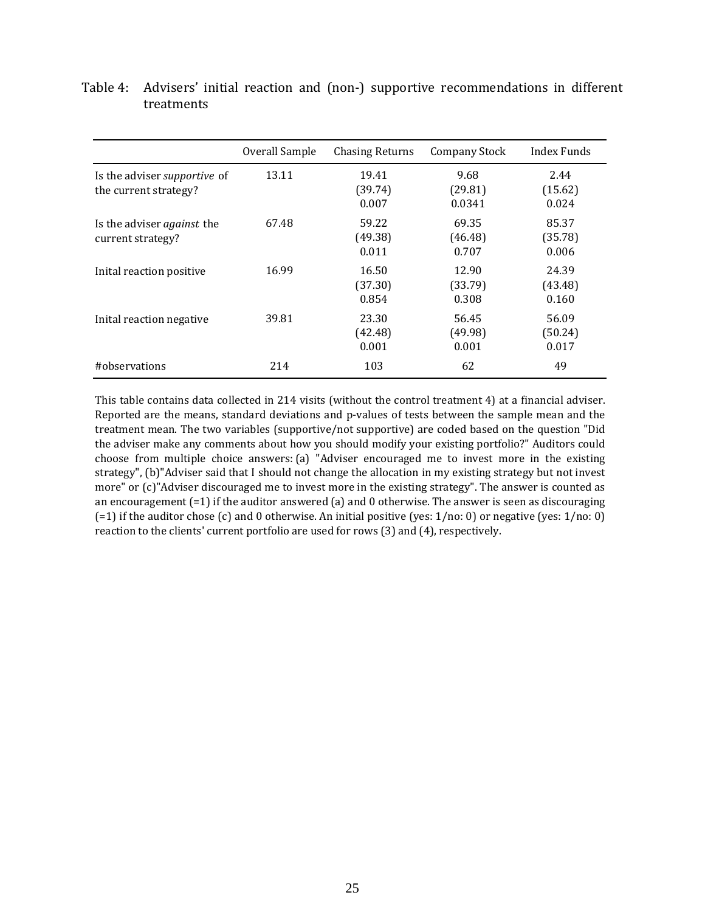|                                                              | Overall Sample | <b>Chasing Returns</b>    | <b>Company Stock</b>      | <b>Index Funds</b>        |
|--------------------------------------------------------------|----------------|---------------------------|---------------------------|---------------------------|
| Is the adviser <i>supportive</i> of<br>the current strategy? | 13.11          | 19.41<br>(39.74)<br>0.007 | 9.68<br>(29.81)<br>0.0341 | 2.44<br>(15.62)<br>0.024  |
| Is the adviser <i>against</i> the<br>current strategy?       | 67.48          | 59.22<br>(49.38)<br>0.011 | 69.35<br>(46.48)<br>0.707 | 85.37<br>(35.78)<br>0.006 |
| Inital reaction positive                                     | 16.99          | 16.50<br>(37.30)<br>0.854 | 12.90<br>(33.79)<br>0.308 | 24.39<br>(43.48)<br>0.160 |
| Inital reaction negative                                     | 39.81          | 23.30<br>(42.48)<br>0.001 | 56.45<br>(49.98)<br>0.001 | 56.09<br>(50.24)<br>0.017 |
| #observations                                                | 214            | 103                       | 62                        | 49                        |

|            |  |  | Table 4: Advisers' initial reaction and (non-) supportive recommendations in different |  |
|------------|--|--|----------------------------------------------------------------------------------------|--|
| treatments |  |  |                                                                                        |  |

This table contains data collected in 214 visits (without the control treatment 4) at a financial adviser. Reported are the means, standard deviations and p-values of tests between the sample mean and the treatment mean. The two variables (supportive/not supportive) are coded based on the question "Did the adviser make any comments about how you should modify your existing portfolio?" Auditors could choose from multiple choice answers: (a) "Adviser encouraged me to invest more in the existing strategy", (b)"Adviser said that I should not change the allocation in my existing strategy but not invest more" or (c)"Adviser discouraged me to invest more in the existing strategy". The answer is counted as an encouragement  $(=1)$  if the auditor answered (a) and 0 otherwise. The answer is seen as discouraging (=1) if the auditor chose (c) and 0 otherwise. An initial positive (yes: 1/no: 0) or negative (yes: 1/no: 0) reaction to the clients' current portfolio are used for rows (3) and (4), respectively.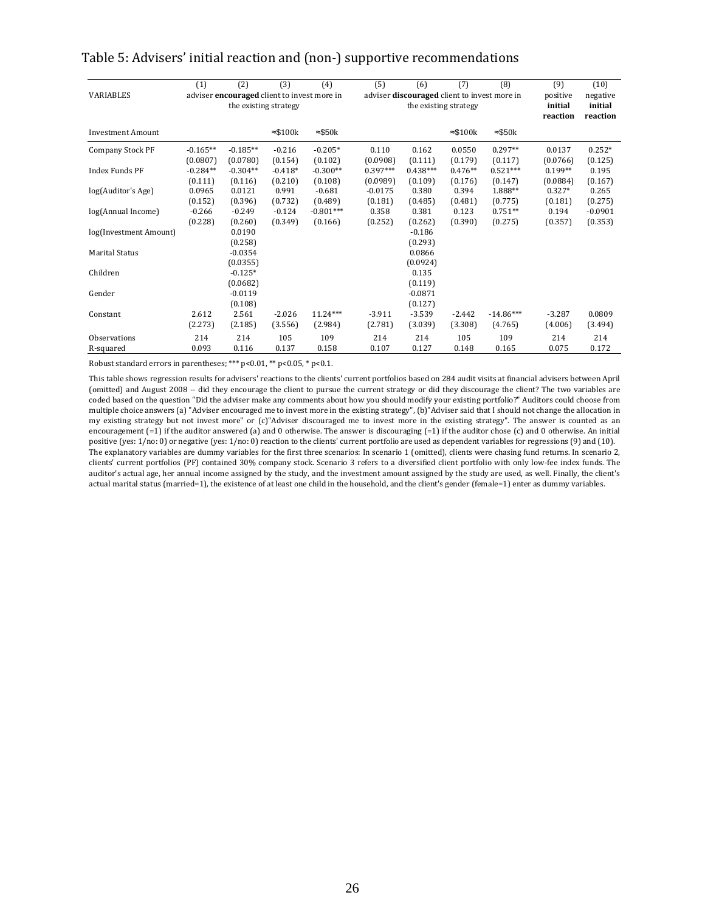|                           | (1)                    | (2)                                                                         | (3)                  | (4)                    | (5)                    | (6)                                                                   | (7)                  | (8)                    | (9)                             | (10)                            |
|---------------------------|------------------------|-----------------------------------------------------------------------------|----------------------|------------------------|------------------------|-----------------------------------------------------------------------|----------------------|------------------------|---------------------------------|---------------------------------|
| <b>VARIABLES</b>          |                        | adviser <b>encouraged</b> client to invest more in<br>the existing strategy |                      |                        |                        | adviser discouraged client to invest more in<br>the existing strategy |                      |                        | positive<br>initial<br>reaction | negative<br>initial<br>reaction |
| <b>Investment Amount</b>  |                        |                                                                             | $\approx$ \$100k     | $\approx$ \$50 $k$     |                        |                                                                       | $\approx$ \$100k     | $\approx$ \$50 $k$     |                                 |                                 |
| Company Stock PF          | $-0.165**$<br>(0.0807) | $-0.185**$<br>(0.0780)                                                      | $-0.216$<br>(0.154)  | $-0.205*$<br>(0.102)   | 0.110<br>(0.0908)      | 0.162<br>(0.111)                                                      | 0.0550<br>(0.179)    | $0.297**$<br>(0.117)   | 0.0137<br>(0.0766)              | $0.252*$<br>(0.125)             |
| Index Funds PF            | $-0.284**$<br>(0.111)  | $-0.304**$<br>(0.116)                                                       | $-0.418*$<br>(0.210) | $-0.300**$<br>(0.108)  | $0.397***$<br>(0.0989) | $0.438***$<br>(0.109)                                                 | $0.476**$<br>(0.176) | $0.521***$<br>(0.147)  | $0.199**$<br>(0.0884)           | 0.195<br>(0.167)                |
| log(Auditor's Age)        | 0.0965<br>(0.152)      | 0.0121<br>(0.396)                                                           | 0.991<br>(0.732)     | $-0.681$<br>(0.489)    | $-0.0175$<br>(0.181)   | 0.380<br>(0.485)                                                      | 0.394<br>(0.481)     | 1.888**<br>(0.775)     | $0.327*$<br>(0.181)             | 0.265<br>(0.275)                |
| log(Annual Income)        | $-0.266$<br>(0.228)    | $-0.249$<br>(0.260)                                                         | $-0.124$<br>(0.349)  | $-0.801***$<br>(0.166) | 0.358<br>(0.252)       | 0.381<br>(0.262)                                                      | 0.123<br>(0.390)     | $0.751**$<br>(0.275)   | 0.194<br>(0.357)                | $-0.0901$<br>(0.353)            |
| log(Investment Amount)    |                        | 0.0190<br>(0.258)                                                           |                      |                        |                        | $-0.186$<br>(0.293)                                                   |                      |                        |                                 |                                 |
| <b>Marital Status</b>     |                        | $-0.0354$<br>(0.0355)                                                       |                      |                        |                        | 0.0866<br>(0.0924)                                                    |                      |                        |                                 |                                 |
| Children                  |                        | $-0.125*$<br>(0.0682)                                                       |                      |                        |                        | 0.135<br>(0.119)                                                      |                      |                        |                                 |                                 |
| Gender                    |                        | $-0.0119$<br>(0.108)                                                        |                      |                        |                        | $-0.0871$<br>(0.127)                                                  |                      |                        |                                 |                                 |
| Constant                  | 2.612<br>(2.273)       | 2.561<br>(2.185)                                                            | $-2.026$<br>(3.556)  | $11.24***$<br>(2.984)  | $-3.911$<br>(2.781)    | $-3.539$<br>(3.039)                                                   | $-2.442$<br>(3.308)  | $-14.86***$<br>(4.765) | $-3.287$<br>(4.006)             | 0.0809<br>(3.494)               |
| Observations<br>R-squared | 214<br>0.093           | 214<br>0.116                                                                | 105<br>0.137         | 109<br>0.158           | 214<br>0.107           | 214<br>0.127                                                          | 105<br>0.148         | 109<br>0.165           | 214<br>0.075                    | 214<br>0.172                    |

## Table 5: Advisers' initial reaction and (non-) supportive recommendations

Robust standard errors in parentheses; \*\*\*  $p$ <0.01, \*\*  $p$ <0.05, \*  $p$ <0.1.

The explanatory variables are dummy variables for the first three scenarios: In scenario 1 (omitted), clients were chasing fund returns. In scenario 2, clients' current portfolios (PF) contained 30% company stock. Scenario 3 refers to a diversified client portfolio with only low‐fee index funds. The auditor's actual age, her annual income assigned by the study, and the investment amount assigned by the study are used, as well. Finally, the client's actual marital status (married=1), the existence of at least one child in the household, and the client's gender (female=1) enter as dummy variables. This table shows regression results for advisers' reactions to the clients' current portfolios based on 284 audit visits at financial advisers between April (omitted) and August 2008 ‐‐ did they encourage the client to pursue the current strategy or did they discourage the client? The two variables are coded based on the question "Did the adviser make any comments about how you should modify your existing portfolio?" Auditors could choose from multiple choice answers (a) "Adviser encouraged me to invest more in the existing strategy", (b)"Adviser said that I should not change the allocation in my existing strategy but not invest more" or (c)"Adviser discouraged me to invest more in the existing strategy". The answer is counted as an encouragement (=1) if the auditor answered (a) and 0 otherwise. The answer is discouraging (=1) if the auditor chose (c) and 0 otherwise. An initial positive (yes: 1/no: 0) or negative (yes: 1/no: 0) reaction to the clients' current portfolio are used as dependent variables for regressions (9) and (10).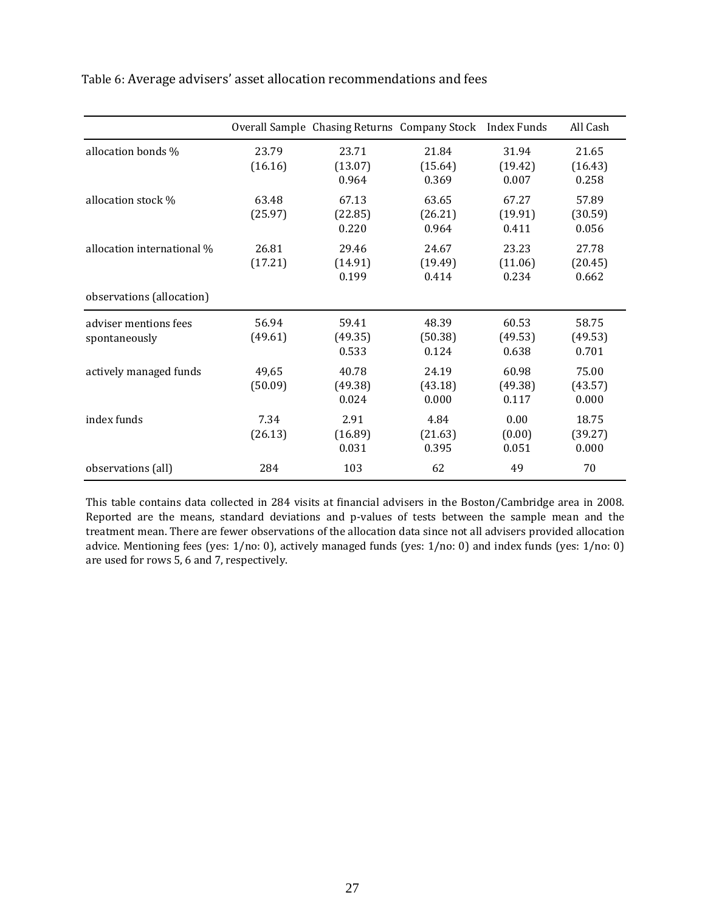|                                        |                  | Overall Sample Chasing Returns Company Stock Index Funds |                           |                           | All Cash                  |
|----------------------------------------|------------------|----------------------------------------------------------|---------------------------|---------------------------|---------------------------|
| allocation bonds %                     | 23.79<br>(16.16) | 23.71<br>(13.07)<br>0.964                                | 21.84<br>(15.64)<br>0.369 | 31.94<br>(19.42)<br>0.007 | 21.65<br>(16.43)<br>0.258 |
| allocation stock %                     | 63.48<br>(25.97) | 67.13<br>(22.85)<br>0.220                                | 63.65<br>(26.21)<br>0.964 | 67.27<br>(19.91)<br>0.411 | 57.89<br>(30.59)<br>0.056 |
| allocation international %             | 26.81<br>(17.21) | 29.46<br>(14.91)<br>0.199                                | 24.67<br>(19.49)<br>0.414 | 23.23<br>(11.06)<br>0.234 | 27.78<br>(20.45)<br>0.662 |
| observations (allocation)              |                  |                                                          |                           |                           |                           |
| adviser mentions fees<br>spontaneously | 56.94<br>(49.61) | 59.41<br>(49.35)<br>0.533                                | 48.39<br>(50.38)<br>0.124 | 60.53<br>(49.53)<br>0.638 | 58.75<br>(49.53)<br>0.701 |
| actively managed funds                 | 49,65<br>(50.09) | 40.78<br>(49.38)<br>0.024                                | 24.19<br>(43.18)<br>0.000 | 60.98<br>(49.38)<br>0.117 | 75.00<br>(43.57)<br>0.000 |
| index funds                            | 7.34<br>(26.13)  | 2.91<br>(16.89)<br>0.031                                 | 4.84<br>(21.63)<br>0.395  | 0.00<br>(0.00)<br>0.051   | 18.75<br>(39.27)<br>0.000 |
| observations (all)                     | 284              | 103                                                      | 62                        | 49                        | 70                        |

Table 6: Average advisers' asset allocation recommendations and fees

This table contains data collected in 284 visits at financial advisers in the Boston/Cambridge area in 2008. Reported are the means, standard deviations and p-values of tests between the sample mean and the treatment mean. There are fewer observations of the allocation data since not all advisers provided allocation advice. Mentioning fees (yes: 1/no: 0), actively managed funds (yes: 1/no: 0) and index funds (yes: 1/no: 0) are used for rows 5, 6 and 7, respectively.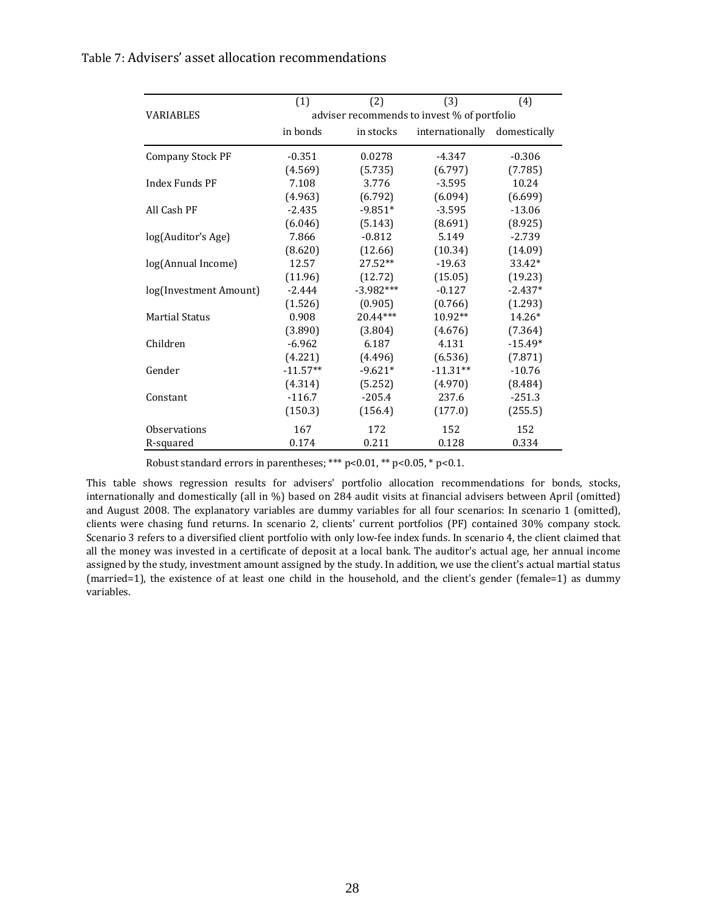### Table 7: Advisers' asset allocation recommendations

|                         | (1)        | (2)         | (3)                                         | (4)          |
|-------------------------|------------|-------------|---------------------------------------------|--------------|
| <b>VARIABLES</b>        |            |             | adviser recommends to invest % of portfolio |              |
|                         | in bonds   | in stocks   | internationally                             | domestically |
| <b>Company Stock PF</b> | $-0.351$   | 0.0278      | $-4.347$                                    | $-0.306$     |
|                         | (4.569)    | (5.735)     | (6.797)                                     | (7.785)      |
| <b>Index Funds PF</b>   | 7.108      | 3.776       | $-3.595$                                    | 10.24        |
|                         | (4.963)    | (6.792)     | (6.094)                                     | (6.699)      |
| All Cash PF             | $-2.435$   | $-9.851*$   | $-3.595$                                    | $-13.06$     |
|                         | (6.046)    | (5.143)     | (8.691)                                     | (8.925)      |
| log(Auditor's Age)      | 7.866      | $-0.812$    | 5.149                                       | $-2.739$     |
|                         | (8.620)    | (12.66)     | (10.34)                                     | (14.09)      |
| log(Annual Income)      | 12.57      | $27.52**$   | $-19.63$                                    | $33.42*$     |
|                         | (11.96)    | (12.72)     | (15.05)                                     | (19.23)      |
| log(Investment Amount)  | $-2.444$   | $-3.982***$ | $-0.127$                                    | $-2.437*$    |
|                         | (1.526)    | (0.905)     | (0.766)                                     | (1.293)      |
| <b>Martial Status</b>   | 0.908      | 20.44***    | $10.92**$                                   | 14.26*       |
|                         | (3.890)    | (3.804)     | (4.676)                                     | (7.364)      |
| Children                | $-6.962$   | 6.187       | 4.131                                       | $-15.49*$    |
|                         | (4.221)    | (4.496)     | (6.536)                                     | (7.871)      |
| Gender                  | $-11.57**$ | $-9.621*$   | $-11.31**$                                  | $-10.76$     |
|                         | (4.314)    | (5.252)     | (4.970)                                     | (8.484)      |
| Constant                | $-116.7$   | $-205.4$    | 237.6                                       | $-251.3$     |
|                         | (150.3)    | (156.4)     | (177.0)                                     | (255.5)      |
| <b>Observations</b>     | 167        | 172         | 152                                         | 152          |
| R-squared               | 0.174      | 0.211       | 0.128                                       | 0.334        |

Robust standard errors in parentheses; \*\*\*  $p$ <0.01, \*\*  $p$ <0.05, \*  $p$ <0.1.

This table shows regression results for advisers' portfolio allocation recommendations for bonds, stocks, internationally and domestically (all in %) based on 284 audit visits at financial advisers between April (omitted) and August 2008. The explanatory variables are dummy variables for all four scenarios: In scenario 1 (omitted), clients were chasing fund returns. In scenario 2, clients' current portfolios (PF) contained 30% company stock. Scenario 3 refers to a diversified client portfolio with only low-fee index funds. In scenario 4, the client claimed that all the money was invested in a certificate of deposit at a local bank. The auditor's actual age, her annual income assigned by the study, investment amount assigned by the study. In addition, we use the client's actual martial status (married=1), the existence of at least one child in the household, and the client's gender (female=1) as dummy variables.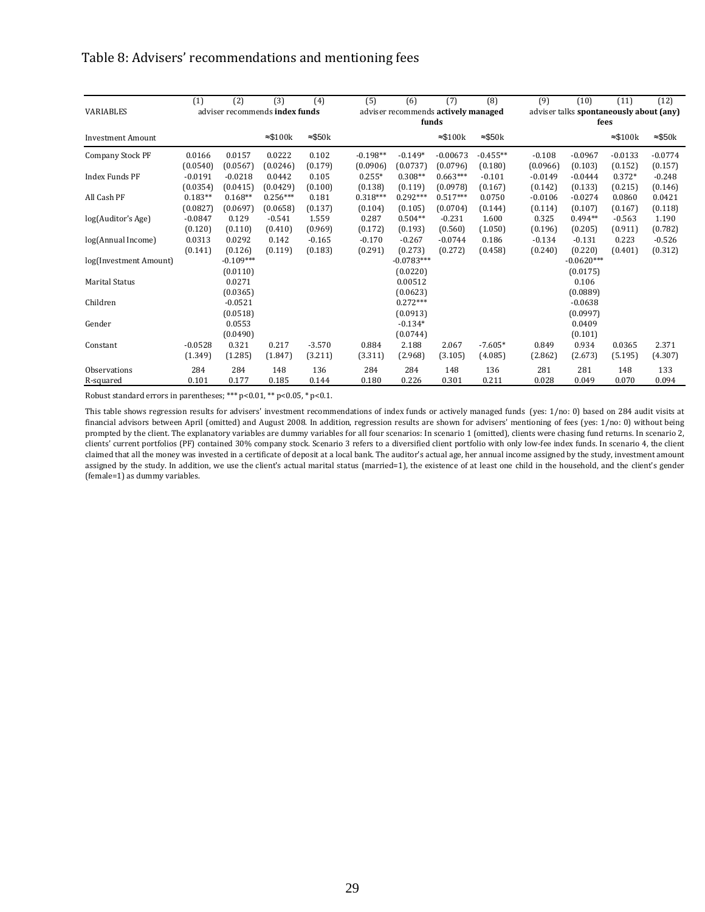# Table 8: Advisers' recommendations and mentioning fees

|                          | (1)       | (2)         | (3)                            | (4)                | (5)        | (6)                                 | (7)              | (8)                | (9)       | (10)         | (11)                                    | (12)               |
|--------------------------|-----------|-------------|--------------------------------|--------------------|------------|-------------------------------------|------------------|--------------------|-----------|--------------|-----------------------------------------|--------------------|
| VARIABLES                |           |             | adviser recommends index funds |                    |            | adviser recommends actively managed |                  |                    |           |              | adviser talks spontaneously about (any) |                    |
|                          |           |             |                                |                    |            |                                     | funds            |                    |           |              | fees                                    |                    |
| <b>Investment Amount</b> |           |             | $\approx$ \$100k               | $\approx$ \$50 $k$ |            |                                     | $\approx$ \$100k | $\approx$ \$50 $k$ |           |              | $\approx$ \$100k                        | $\approx$ \$50 $k$ |
| Company Stock PF         | 0.0166    | 0.0157      | 0.0222                         | 0.102              | $-0.198**$ | $-0.149*$                           | $-0.00673$       | $-0.455**$         | $-0.108$  | $-0.0967$    | $-0.0133$                               | $-0.0774$          |
|                          | (0.0540)  | (0.0567)    | (0.0246)                       | (0.179)            | (0.0906)   | (0.0737)                            | (0.0796)         | (0.180)            | (0.0966)  | (0.103)      | (0.152)                                 | (0.157)            |
| Index Funds PF           | $-0.0191$ | $-0.0218$   | 0.0442                         | 0.105              | $0.255*$   | $0.308**$                           | $0.663***$       | $-0.101$           | $-0.0149$ | $-0.0444$    | $0.372*$                                | $-0.248$           |
|                          | (0.0354)  | (0.0415)    | (0.0429)                       | (0.100)            | (0.138)    | (0.119)                             | (0.0978)         | (0.167)            | (0.142)   | (0.133)      | (0.215)                                 | (0.146)            |
| All Cash PF              | $0.183**$ | $0.168**$   | $0.256***$                     | 0.181              | $0.318***$ | $0.292***$                          | $0.517***$       | 0.0750             | $-0.0106$ | $-0.0274$    | 0.0860                                  | 0.0421             |
|                          | (0.0827)  | (0.0697)    | (0.0658)                       | (0.137)            | (0.104)    | (0.105)                             | (0.0704)         | (0.144)            | (0.114)   | (0.107)      | (0.167)                                 | (0.118)            |
| log(Auditor's Age)       | $-0.0847$ | 0.129       | $-0.541$                       | 1.559              | 0.287      | $0.504**$                           | $-0.231$         | 1.600              | 0.325     | $0.494**$    | $-0.563$                                | 1.190              |
|                          | (0.120)   | (0.110)     | (0.410)                        | (0.969)            | (0.172)    | (0.193)                             | (0.560)          | (1.050)            | (0.196)   | (0.205)      | (0.911)                                 | (0.782)            |
| log(Annual Income)       | 0.0313    | 0.0292      | 0.142                          | $-0.165$           | $-0.170$   | $-0.267$                            | $-0.0744$        | 0.186              | $-0.134$  | $-0.131$     | 0.223                                   | $-0.526$           |
|                          | (0.141)   | (0.126)     | (0.119)                        | (0.183)            | (0.291)    | (0.273)                             | (0.272)          | (0.458)            | (0.240)   | (0.220)      | (0.401)                                 | (0.312)            |
| log(Investment Amount)   |           | $-0.109***$ |                                |                    |            | $-0.0783***$                        |                  |                    |           | $-0.0620***$ |                                         |                    |
|                          |           | (0.0110)    |                                |                    |            | (0.0220)                            |                  |                    |           | (0.0175)     |                                         |                    |
| <b>Marital Status</b>    |           | 0.0271      |                                |                    |            | 0.00512                             |                  |                    |           | 0.106        |                                         |                    |
|                          |           | (0.0365)    |                                |                    |            | (0.0623)                            |                  |                    |           | (0.0889)     |                                         |                    |
| Children                 |           | $-0.0521$   |                                |                    |            | $0.272***$                          |                  |                    |           | $-0.0638$    |                                         |                    |
|                          |           | (0.0518)    |                                |                    |            | (0.0913)                            |                  |                    |           | (0.0997)     |                                         |                    |
| Gender                   |           | 0.0553      |                                |                    |            | $-0.134*$                           |                  |                    |           | 0.0409       |                                         |                    |
|                          |           | (0.0490)    |                                |                    |            | (0.0744)                            |                  |                    |           | (0.101)      |                                         |                    |
| Constant                 | $-0.0528$ | 0.321       | 0.217                          | $-3.570$           | 0.884      | 2.188                               | 2.067            | $-7.605*$          | 0.849     | 0.934        | 0.0365                                  | 2.371              |
|                          | (1.349)   | (1.285)     | (1.847)                        | (3.211)            | (3.311)    | (2.968)                             | (3.105)          | (4.085)            | (2.862)   | (2.673)      | (5.195)                                 | (4.307)            |
| <b>Observations</b>      | 284       | 284         | 148                            | 136                | 284        | 284                                 | 148              | 136                | 281       | 281          | 148                                     | 133                |
| R-squared                | 0.101     | 0.177       | 0.185                          | 0.144              | 0.180      | 0.226                               | 0.301            | 0.211              | 0.028     | 0.049        | 0.070                                   | 0.094              |

Robust standard errors in parentheses; \*\*\*  $p$ <0.01, \*\*  $p$ <0.05, \*  $p$ <0.1.

This table shows regression results for advisers' investment recommendations of index funds or actively managed funds (yes: 1/no: 0) based on 284 audit visits at financial advisors between April (omitted) and August 2008. In addition, regression results are shown for advisers' mentioning of fees (yes: 1/no: 0) without being prompted by the client. The explanatory variables are dummy variables for all four scenarios: In scenario 1 (omitted), clients were chasing fund returns. In scenario 2, clients' current portfolios (PF) contained 30% company stock. Scenario 3 refers to a diversified client portfolio with only low‐fee index funds. In scenario 4, the client claimed that all the money was invested in a certificate of deposit at a local bank. The auditor's actual age, her annual income assigned by the study, investment amount assigned by the study. In addition, we use the client's actual marital status (married=1), the existence of at least one child in the household, and the client's gender (female=1) as dummy variables.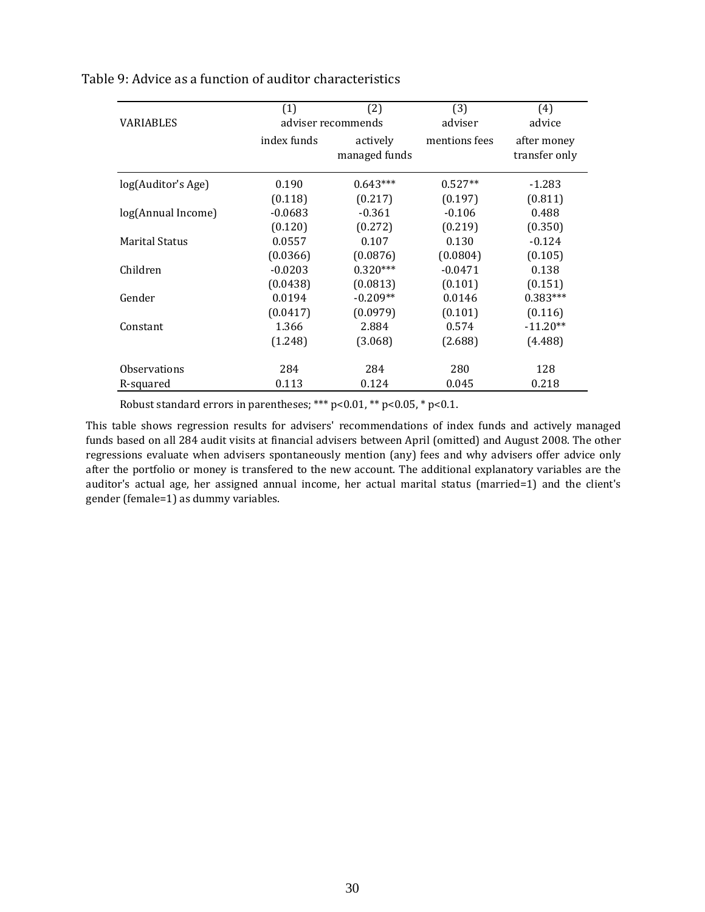| VARIABLES           | (1)         | (2)<br>adviser recommends | (3)<br>adviser | (4)<br>advice                |
|---------------------|-------------|---------------------------|----------------|------------------------------|
|                     | index funds | actively<br>managed funds | mentions fees  | after money<br>transfer only |
| log(Auditor's Age)  | 0.190       | $0.643***$                | $0.527**$      | $-1.283$                     |
|                     | (0.118)     | (0.217)                   | (0.197)        | (0.811)                      |
| log(Annual Income)  | $-0.0683$   | $-0.361$                  | $-0.106$       | 0.488                        |
|                     | (0.120)     | (0.272)                   | (0.219)        | (0.350)                      |
| Marital Status      | 0.0557      | 0.107                     | 0.130          | $-0.124$                     |
|                     | (0.0366)    | (0.0876)                  | (0.0804)       | (0.105)                      |
| Children            | $-0.0203$   | $0.320***$                | $-0.0471$      | 0.138                        |
|                     | (0.0438)    | (0.0813)                  | (0.101)        | (0.151)                      |
| Gender              | 0.0194      | $-0.209**$                | 0.0146         | $0.383***$                   |
|                     | (0.0417)    | (0.0979)                  | (0.101)        | (0.116)                      |
| Constant            | 1.366       | 2.884                     | 0.574          | $-11.20**$                   |
|                     | (1.248)     | (3.068)                   | (2.688)        | (4.488)                      |
| <b>Observations</b> | 284         | 284                       | 280            | 128                          |
| R-squared           | 0.113       | 0.124                     | 0.045          | 0.218                        |

Table 9: Advice as a function of auditor characteristics

Robust standard errors in parentheses; \*\*\*  $p$ <0.01, \*\*  $p$ <0.05, \*  $p$ <0.1.

This table shows regression results for advisers' recommendations of index funds and actively managed funds based on all 284 audit visits at financial advisers between April (omitted) and August 2008. The other regressions evaluate when advisers spontaneously mention (any) fees and why advisers offer advice only after the portfolio or money is transfered to the new account. The additional explanatory variables are the auditor's actual age, her assigned annual income, her actual marital status (married=1) and the client's gender (female=1) as dummy variables.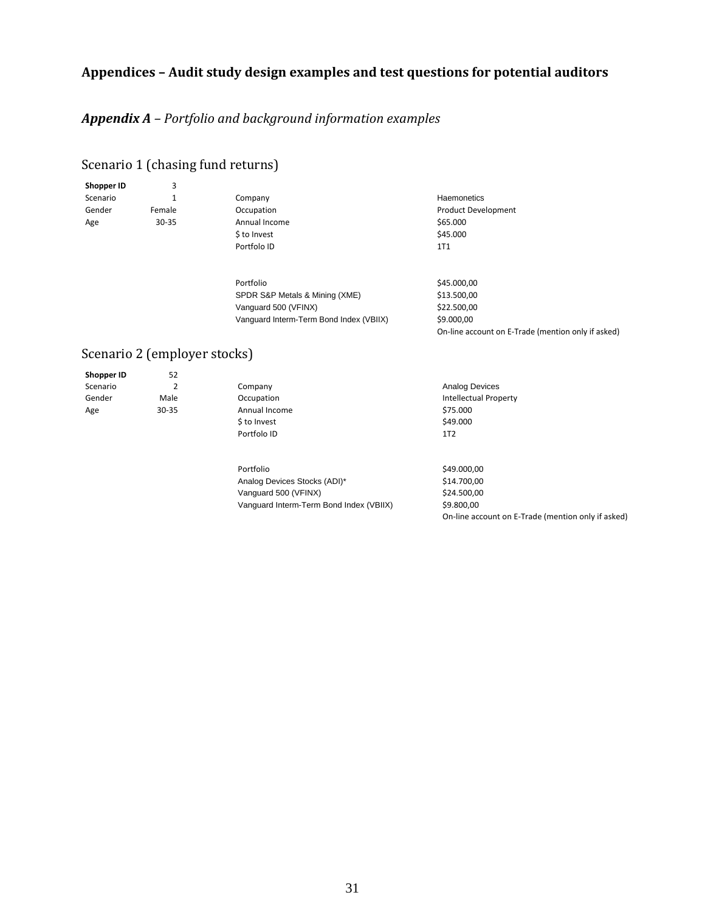# **Appendices – Audit study design examples and test questions for potential auditors**

# *Appendix A – Portfolio and background information examples*

# Scenario 1 (chasing fund returns)

| Shopper ID | 3         |
|------------|-----------|
| Scenario   | 1         |
| Gender     | Female    |
| Age        | $30 - 35$ |
|            |           |

1 Company Company Haemonetics 80-35 Annual Income \$65.000  $$$  to Invest  $$45.000$ 

male **CONFIDENTIAL CONFIDENT** CONTINUES Product Development Portfolo ID 1T1

> Portfolio \$45.000,00 SPDR S&P Metals & Mining (XME) \$13.500,00 Vanguard 500 (VFINX) \$22.500,00 Vanguard Interm-Term Bond Index (VBIIX) \$9.000,00

On‐line account on E‐Trade (mention only if asked)

# Scenario 2 (employer stocks)

| Shopper ID | 52        |                  |                              |  |
|------------|-----------|------------------|------------------------------|--|
| Scenario   | ۷         | Company          | <b>Analog Devices</b>        |  |
| Gender     | Male      | Occupation       | <b>Intellectual Property</b> |  |
| Age        | $30 - 35$ | Annual Income    | \$75.000                     |  |
|            |           | \$ to Invest     | \$49.000                     |  |
|            |           | Portfolo ID      | 1T <sub>2</sub>              |  |
|            |           |                  |                              |  |
|            |           |                  |                              |  |
|            |           | <b>Dortfolio</b> | SAD DOD OD                   |  |

Portfolio \$49.000,00 Analog Devices Stocks (ADI)\* \$14.700,00<br>Vanguard 500 (VFINX) \$24.500,00 Vanguard 500 (VFINX) Vanguard Interm-Term Bond Index (VBIIX) \$9.800,00

On‐line account on E‐Trade (mention only if asked)